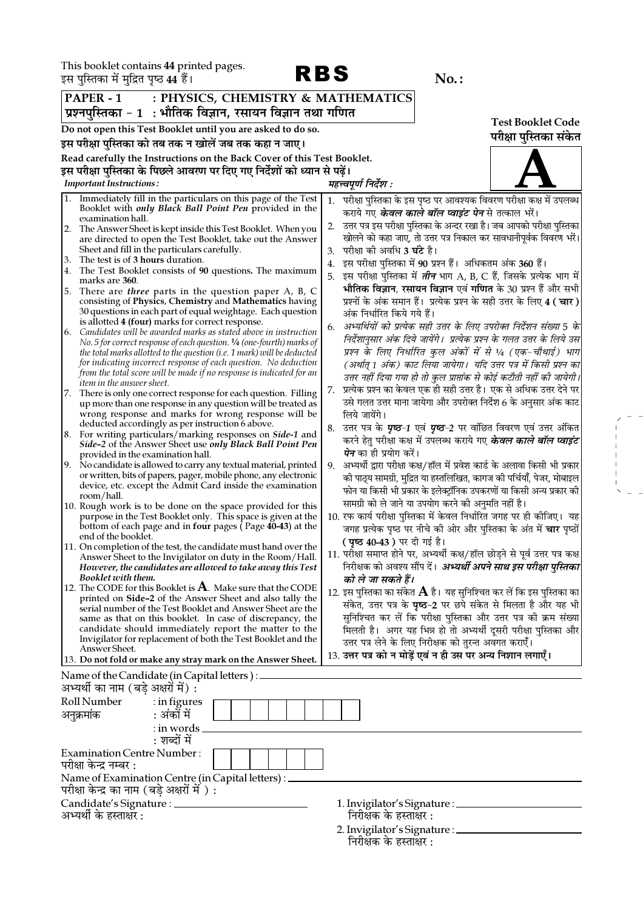$RBS$  No.

 $\begin{aligned} \mathcal{L}_{\text{max}} &= \frac{1}{2} \left( \frac{1}{2} \right) \mathcal{L}_{\text{max}} \\ &= \frac{1}{2} \left( \frac{1}{2} \right) \mathcal{L}_{\text{max}} \\ &= \frac{1}{2} \mathcal{L}_{\text{max}} \\ &= \frac{1}{2} \mathcal{L}_{\text{max}} \\ &= \frac{1}{2} \mathcal{L}_{\text{max}} \\ &= \frac{1}{2} \mathcal{L}_{\text{max}} \\ &= \frac{1}{2} \mathcal{L}_{\text{max}} \\ &= \frac{1}{2} \mathcal{L}_{\text{max}} \\ &= \frac{1}{2} \mathcal{L}_{\text{max$ 

|    | ३स पुल्ताका म मुम्नित पृष्ठ क्ष्म है।                                                                          |                                                                                                                                                     |    | 190. .                                                                                                                                    |                          |
|----|----------------------------------------------------------------------------------------------------------------|-----------------------------------------------------------------------------------------------------------------------------------------------------|----|-------------------------------------------------------------------------------------------------------------------------------------------|--------------------------|
|    | PAPER - 1<br>: PHYSICS, CHEMISTRY & MATHEMATICS<br>प्रश्नपुस्तिका - 1  : भौतिक विज्ञान, रसायन विज्ञान तथा गणित |                                                                                                                                                     |    |                                                                                                                                           |                          |
|    |                                                                                                                |                                                                                                                                                     |    |                                                                                                                                           | <b>Test Booklet Code</b> |
|    |                                                                                                                | Do not open this Test Booklet until you are asked to do so.                                                                                         |    |                                                                                                                                           | परीक्षा पुस्तिका संकेत   |
|    |                                                                                                                | इस परीक्षा पुस्तिका को तब तक न खोलें जब तक कहा न जाए।                                                                                               |    |                                                                                                                                           |                          |
|    |                                                                                                                | Read carefully the Instructions on the Back Cover of this Test Booklet.<br>इस परीक्षा पुस्तिका के पिछले आवरण पर दिए गए निर्देशों को ध्यान से पढ़ें। |    |                                                                                                                                           |                          |
|    | <b>Important Instructions:</b>                                                                                 |                                                                                                                                                     |    | महत्त्वपूर्ण निर्देश :                                                                                                                    |                          |
|    |                                                                                                                | 1. Immediately fill in the particulars on this page of the Test                                                                                     |    |                                                                                                                                           |                          |
|    |                                                                                                                | Booklet with only Black Ball Point Pen provided in the                                                                                              | 1. | परीक्षा पुस्तिका के इस पृष्ठ पर आवश्यक विवरण परीक्षा कक्ष में उपलब्ध<br>कराये गए <b>के<i>वल काले बॉल प्वाइंट पेन</i> </b> से तत्काल भरें। |                          |
|    | examination hall.                                                                                              |                                                                                                                                                     |    | उत्तर पत्र इस परीक्षा पुस्तिका के अन्दर रखा है। जब आपको परीक्षा पुस्तिका                                                                  |                          |
| 2. |                                                                                                                | The Answer Sheet is kept inside this Test Booklet. When you                                                                                         |    | खोलने को कहा जाए, तो उत्तर पत्र निकाल कर सावधानीपूर्वक विवरण भरें।                                                                        |                          |
|    |                                                                                                                | are directed to open the Test Booklet, take out the Answer<br>Sheet and fill in the particulars carefully.                                          | 3. | परीक्षा की अवधि <b>3 घंटे</b> है।                                                                                                         |                          |
| 3. | The test is of 3 hours duration.                                                                               |                                                                                                                                                     |    | इस परीक्षा पुस्तिका में 90 प्रश्न हैं। अधिकतम अंक 360 हैं।                                                                                |                          |
| 4. |                                                                                                                | The Test Booklet consists of 90 questions. The maximum                                                                                              |    | इस परीक्षा पुस्तिका में <i>तीन</i> भाग A, B, C हैं, जिसके प्रत्येक भाग में                                                                |                          |
|    | marks are 360.                                                                                                 |                                                                                                                                                     | 5. |                                                                                                                                           |                          |
| 5. |                                                                                                                | There are <i>three</i> parts in the question paper A, B, C                                                                                          |    | भौतिक विज्ञान, रसायन विज्ञान एवं गणित के 30 प्रश्न हैं और सभी                                                                             |                          |
|    |                                                                                                                | consisting of Physics, Chemistry and Mathematics having<br>30 questions in each part of equal weightage. Each question                              |    | प्रश्नों के अंक समान हैं। प्रत्येक प्रश्न के सही उत्तर के लिए 4 ( चार )                                                                   |                          |
|    |                                                                                                                | is allotted 4 (four) marks for correct response.                                                                                                    |    | अंक निर्धारित किये गये हैं।                                                                                                               |                          |
| 6. |                                                                                                                | Candidates will be awarded marks as stated above in instruction                                                                                     | 6. | अभ्यर्थियों को प्रत्येक सही उत्तर के लिए उपरोक्त निर्देशन संख्या 5 के                                                                     |                          |
|    |                                                                                                                | No. 5 for correct response of each question. 1/4 (one-fourth) marks of                                                                              |    | निर्देशानुसार अंक दिये जायेंगे।  प्रत्येक प्रश्न के गलत उत्तर के लिये उस                                                                  |                          |
|    |                                                                                                                | the total marks allotted to the question (i.e. 1 mark) will be deducted                                                                             |    | प्रश्न के लिए निर्धारित कुल अंकों में से ¼ (एक-चौथाई) भाग                                                                                 |                          |
|    |                                                                                                                | for indicating incorrect response of each question. No deduction<br>from the total score will be made if no response is indicated for an            |    | (अर्थात् 1 अंक) काट लिया जायेगा।  यदि उत्तर पत्र में किसी प्रश्न का                                                                       |                          |
|    | <i>item in the answer sheet.</i>                                                                               |                                                                                                                                                     |    | उत्तर नहीं दिया गया हो तो कुल प्राप्तांक से कोई कटौती नहीं की जायेगी।                                                                     |                          |
|    |                                                                                                                | 7. There is only one correct response for each question. Filling                                                                                    | 7. | प्रत्येक प्रश्न का केवल एक ही सही उत्तर है। एक से अधिक उत्तर देने पर                                                                      |                          |
|    |                                                                                                                | up more than one response in any question will be treated as                                                                                        |    | उसे गलत उत्तर माना जायेगा और उपरोक्त निर्देश 6 के अनुसार अंक काट                                                                          |                          |
|    |                                                                                                                | wrong response and marks for wrong response will be                                                                                                 |    | लिये जायेंगे।                                                                                                                             |                          |
|    |                                                                                                                | deducted accordingly as per instruction 6 above.<br>8. For writing particulars/marking responses on Side-1 and                                      | 8. | उत्तर पत्र के <i>पृष्ठ-1</i> एवं <i>पृष्ठ-2</i> पर वांछित विवरण एवं उत्तर अंकित                                                           |                          |
|    |                                                                                                                | Side-2 of the Answer Sheet use only Black Ball Point Pen                                                                                            |    | करने हेतु परीक्षा कक्ष में उपलब्ध कराये गए <b>के<i>वल काले बॉल प्वाइंट</i></b>                                                            |                          |
|    | provided in the examination hall.                                                                              |                                                                                                                                                     |    | <i>पेन</i> का ही प्रयोग करें।                                                                                                             |                          |
|    |                                                                                                                | 9. No candidate is allowed to carry any textual material, printed                                                                                   | 9. | अभ्यर्थी द्वारा परीक्षा कक्ष/हॉल में प्रवेश कार्ड के अलावा किसी भी प्रकार                                                                 |                          |
|    |                                                                                                                | or written, bits of papers, pager, mobile phone, any electronic                                                                                     |    | को पाठ्य सामग्री, मुद्रित या हस्तलिखित, कागज को पर्चियाँ, पेजर, मोबाइल                                                                    |                          |
|    | room/hall.                                                                                                     | device, etc. except the Admit Card inside the examination                                                                                           |    | फोन या किसी भी प्रकार के इलेक्ट्रॉनिक उपकरणों या किसी अन्य प्रकार की                                                                      |                          |
|    |                                                                                                                | 10. Rough work is to be done on the space provided for this                                                                                         |    | सामग्री को ले जाने या उपयोग करने की अनुमति नहीं है।                                                                                       |                          |
|    |                                                                                                                | purpose in the Test Booklet only. This space is given at the                                                                                        |    | 10. रफ कार्य परीक्षा पुस्तिका में केवल निर्धारित जगह पर ही कीजिए। यह                                                                      |                          |
|    |                                                                                                                | bottom of each page and in four pages (Page 40-43) at the                                                                                           |    | जगह प्रत्येक पृष्ठ पर नीचे की ओर और पुस्तिका के अंत में <b>चार</b> पृष्ठों                                                                |                          |
|    | end of the booklet.                                                                                            | 11. On completion of the test, the candidate must hand over the                                                                                     |    | ( पृष्ठ 40-43 ) पर दी गई है।                                                                                                              |                          |
|    |                                                                                                                | Answer Sheet to the Invigilator on duty in the Room/Hall.                                                                                           |    | 11. परीक्षा समाप्त होने पर, अभ्यर्थी कक्ष/हॉल छोड़ने से पूर्व उत्तर पत्र कक्ष                                                             |                          |
|    |                                                                                                                | However, the candidates are allowed to take away this Test                                                                                          |    | निरीक्षक को अवश्य सौंप दें। अभ्यर्थी अपने साथ इस परीक्षा पुस्तिका                                                                         |                          |
|    | Booklet with them.                                                                                             |                                                                                                                                                     |    | को ले जा सकते हैं।                                                                                                                        |                          |
|    |                                                                                                                | 12. The CODE for this Booklet is $A$ . Make sure that the CODE                                                                                      |    | 12. इस पुस्तिका का संकेत ${\bf A}$ है। यह सुनिश्चित कर लें कि इस पुस्तिका का                                                              |                          |
|    |                                                                                                                | printed on Side-2 of the Answer Sheet and also tally the<br>serial number of the Test Booklet and Answer Sheet are the                              |    | संकेत, उत्तर पत्र के <b>पृष्ठ-2</b> पर छपे संकेत से मिलता है और यह भी                                                                     |                          |
|    |                                                                                                                | same as that on this booklet. In case of discrepancy, the                                                                                           |    | सुनिश्चित कर लें कि परीक्षा पुस्तिका और उत्तर पत्र की क्रम संख्या                                                                         |                          |
|    |                                                                                                                | candidate should immediately report the matter to the                                                                                               |    | मिलती है। अगर यह भिन्न हो तो अभ्यर्थी दूसरी परीक्षा पुस्तिका और                                                                           |                          |
|    |                                                                                                                | Invigilator for replacement of both the Test Booklet and the                                                                                        |    | उत्तर पत्र लेने के लिए निरीक्षक को तुरन्त अवगत कराएँ।                                                                                     |                          |
|    | Answer Sheet.                                                                                                  | 13. Do not fold or make any stray mark on the Answer Sheet.                                                                                         |    | 13. उत्तर पत्र को न मोड़ें एवं न ही उस पर अन्य निशान लगाएँ।                                                                               |                          |
|    |                                                                                                                |                                                                                                                                                     |    |                                                                                                                                           |                          |
|    | अभ्यर्थी का नाम (बड़े अक्षरों में) :                                                                           | Name of the Candidate (in Capital letters) : _                                                                                                      |    |                                                                                                                                           |                          |
|    | Roll Number                                                                                                    |                                                                                                                                                     |    |                                                                                                                                           |                          |
|    |                                                                                                                | $:$ in figures<br>: अंकों में                                                                                                                       |    |                                                                                                                                           |                          |
|    | अनुक्रमांक                                                                                                     |                                                                                                                                                     |    |                                                                                                                                           |                          |
|    |                                                                                                                | : in words<br>: शब्दों में                                                                                                                          |    |                                                                                                                                           |                          |
|    |                                                                                                                |                                                                                                                                                     |    |                                                                                                                                           |                          |
|    | <b>Examination Centre Number:</b>                                                                              |                                                                                                                                                     |    |                                                                                                                                           |                          |
|    | परीक्षा केन्द्र नम्बर :                                                                                        |                                                                                                                                                     |    |                                                                                                                                           |                          |
|    | Name of Examination Centre (in Capital letters) :<br>परीक्षा केन्द्र का नाम (बड़े अक्षरों में ) :              |                                                                                                                                                     |    |                                                                                                                                           |                          |
|    | Candidate's Signature : _____                                                                                  |                                                                                                                                                     |    | 1. Invigilator's Signature : ____                                                                                                         |                          |
|    | अभ्यर्थी के हस्ताक्षर :                                                                                        |                                                                                                                                                     |    | निरीक्षक के हस्ताक्षर :                                                                                                                   |                          |
|    |                                                                                                                |                                                                                                                                                     |    |                                                                                                                                           |                          |
|    |                                                                                                                |                                                                                                                                                     |    | 2. Invigilator's Signature : __                                                                                                           |                          |

निरीक्षक के हस्ताक्षर :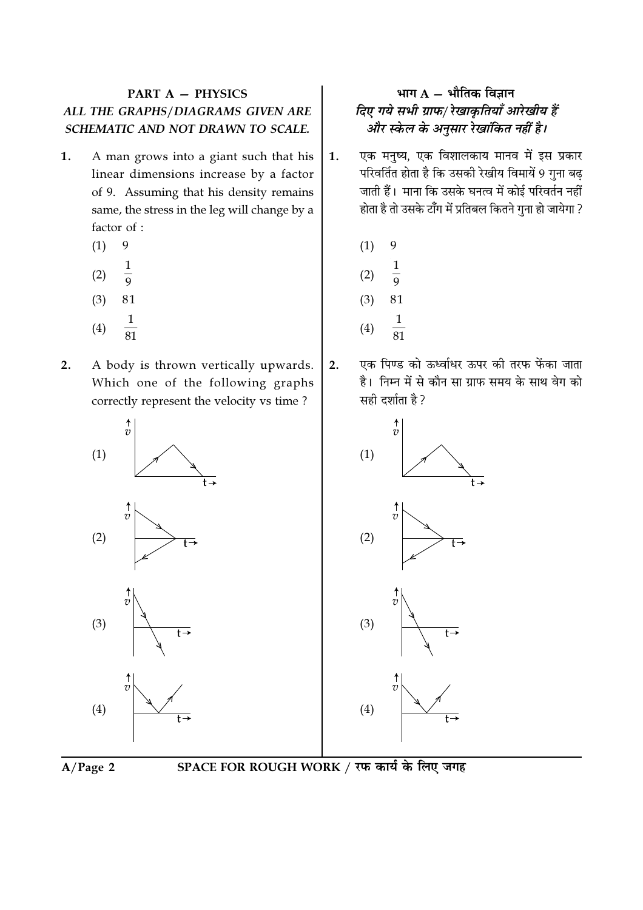## **PART A - PHYSICS** ALL THE GRAPHS/DIAGRAMS GIVEN ARE SCHEMATIC AND NOT DRAWN TO SCALE.

- 1. A man grows into a giant such that his linear dimensions increase by a factor of 9. Assuming that his density remains same, the stress in the leg will change by a factor of :
	- 9  $(1)$
	- $\mathbf{1}$  $(2)$  $\overline{9}$
	- $(3)$ 81
	- $\mathbf 1$
	- $(4)$
- $2.$ A body is thrown vertically upwards. Which one of the following graphs correctly represent the velocity vs time?



## भाग  $A - \hat{A}$ मीतिक विज्ञान दिए गये सभी ग्राफ/ रेखाकृतियाँ आरेखीय हैं और स्केल के अनुसार रेखांकित नहीं है।

- एक मनुष्य, एक विशालकाय मानव में इस प्रकार 1. परिवर्तित होता है कि उसकी रेखीय विमायें 9 गुना बढ जाती हैं। माना कि उसके घनत्व में कोई परिवर्तन नहीं होता है तो उसके टाँग में प्रतिबल कितने गुना हो जायेगा ?
	- $(1)$ 9
	- $\frac{1}{9}$  $(2)$
	- $(3)$ 81
	- $\mathbf{1}$
	- $(4)$

 $2.$ 

एक पिण्ड को ऊर्ध्वाधर ऊपर की तरफ फेंका जाता है। निम्न में से कौन सा ग्राफ समय के साथ वेग को सही दर्शाता है ?





SPACE FOR ROUGH WORK / रफ कार्य के लिए जगह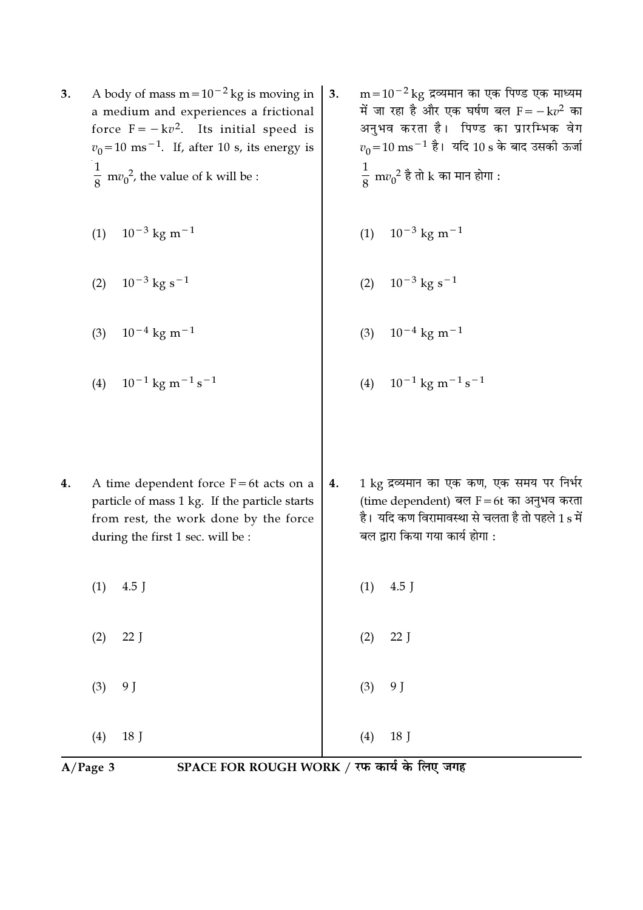- A body of mass  $m = 10^{-2}$  kg is moving in 3. a medium and experiences a frictional force  $F = -kv^2$ . Its initial speed is  $v_0$ =10 ms<sup>-1</sup>. If, after 10 s, its energy is  $\frac{1}{8}$  mv<sub>0</sub><sup>2</sup>, the value of k will be :
	- (1)  $10^{-3}$  kg m<sup>-1</sup>
	- $10^{-3}$  kg s<sup>-1</sup>  $(2)$
	- $10^{-4}$  kg m<sup>-1</sup>  $(3)$
	- $10^{-1}$  kg m<sup>-1</sup> s<sup>-1</sup>  $(4)$
- $m = 10^{-2}$  kg द्रव्यमान का एक पिण्ड एक माध्यम  $3.$ में जा रहा है और एक घर्षण बल  $F = -k v^2$  का अनुभव करता है। पिण्ड का प्रारम्भिक वेग  $v_0$ =10 ms<sup>-1</sup> है। यदि 10 s के बाद उसकी ऊर्जा  $\frac{1}{8}$  m $v_0^2$  है तो k का मान होगा :
	- (1)  $10^{-3}$  kg m<sup>-1</sup>
	- $10^{-3}$  kg s<sup>-1</sup>  $(2)$
	- $10^{-4}$  kg m<sup>-1</sup>  $(3)$
	- $10^{-1}$  kg m<sup>-1</sup> s<sup>-1</sup>  $(4)$
- 1 kg द्रव्यमान का एक कण, एक समय पर निर्भर  $4.$ A time dependent force  $F = 6t$  acts on a  $4.$ (time dependent) बल  $F = 6t$  का अनुभव करता particle of mass 1 kg. If the particle starts है। यदि कण विरामावस्था से चलता है तो पहले 1 s में from rest, the work done by the force बल द्वारा किया गया कार्य होगा : during the first 1 sec. will be :

 $(1)$ 

 $(2)$ 

 $(3)$ 

 $(4)$ 

4.5 J

 $22J$ 

9 J

18 J

- $(1)$  $4.5$  J
- $(2)$  $22$  J
- 9 J  $(3)$
- 

 $18<sup>7</sup>$ 

 $(4)$  $A/Page$  3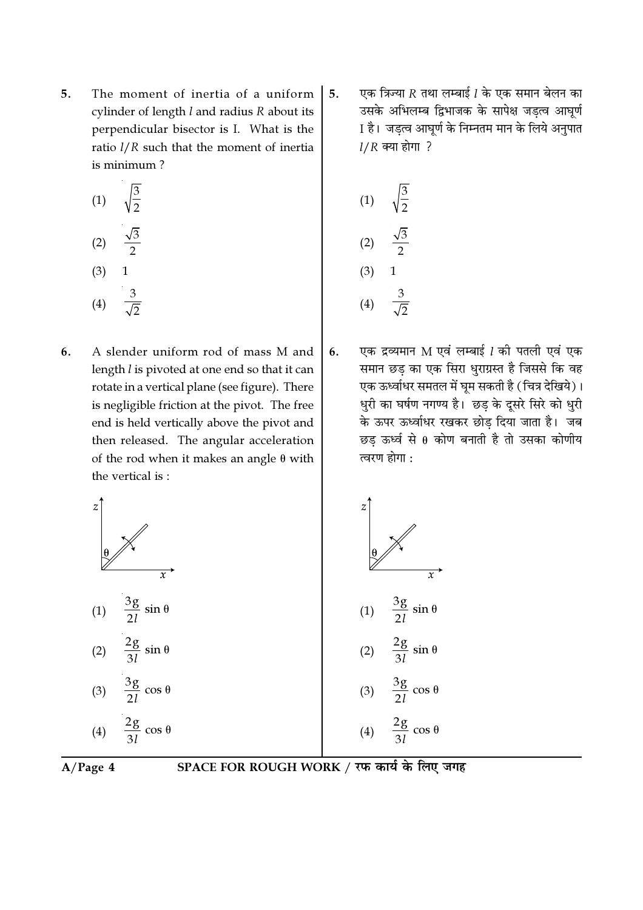5. The moment of inertia of a uniform cylinder of length  $l$  and radius  $R$  about its perpendicular bisector is I. What is the ratio  $l/R$  such that the moment of inertia is minimum?

$$
(1) \quad \sqrt{\frac{3}{2}}
$$

$$
(2) \quad \frac{\sqrt{3}}{2}
$$

$$
(3) \quad 1
$$

$$
(4) \quad \frac{3}{\sqrt{2}}
$$

A slender uniform rod of mass M and 6. length *l* is pivoted at one end so that it can rotate in a vertical plane (see figure). There is negligible friction at the pivot. The free end is held vertically above the pivot and then released. The angular acceleration of the rod when it makes an angle  $\theta$  with the vertical is:

एक त्रिज्या  $R$  तथा लम्बाई  $l$  के एक समान बेलन का 5. उसके अभिलम्ब द्विभाजक के सापेक्ष जड़त्व आघूर्ण I है। जड़त्व आघूर्ण के निम्नतम मान के लिये अनुपात  $1/R$  क्या होगा ?

(1) 
$$
\sqrt{\frac{3}{2}}
$$
  
\n(2)  $\frac{\sqrt{3}}{2}$   
\n(3) 1  
\n(4)  $\frac{3}{\sqrt{2}}$ 

एक द्रव्यमान M एवं लम्बाई 1 की पतली एवं एक 6. समान छड़ का एक सिरा धुराग्रस्त है जिससे कि वह एक ऊर्ध्वाधर समतल में घूम सकती है (चित्र देखिये)। धुरी का घर्षण नगण्य है। छड़ के दूसरे सिरे को धुरी के ऊपर ऊर्ध्वाधर रखकर छोड दिया जाता है। जब छड़ ऊर्ध्व से  $\theta$  कोण बनाती है तो उसका कोणीय त्वरण होगा :





SPACE FOR ROUGH WORK / रफ कार्य के लिए जगह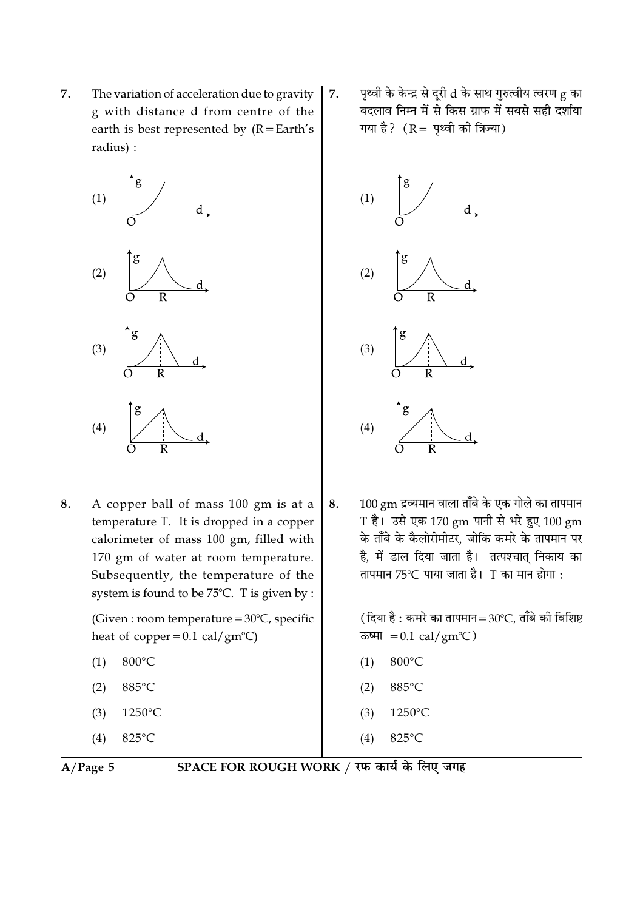7. The variation of acceleration due to gravity g with distance d from centre of the earth is best represented by  $(R = Earth's)$ radius) :



8. A copper ball of mass 100 gm is at a temperature T. It is dropped in a copper calorimeter of mass 100 gm, filled with 170 gm of water at room temperature. Subsequently, the temperature of the system is found to be  $75^{\circ}$ C. T is given by :

> (Given : room temperature =  $30^{\circ}$ C, specific heat of copper=0.1 cal/gm<sup>o</sup>C)

- $(1) 800^{\circ}C$
- (2)  $885^{\circ}$ C
- $(3)$  1250°C
- (4)  $825^{\circ}$ C

7.  $-$  पृथ्वी के केन्द्र से दूरी  $d$  के साथ गुरुत्वीय त्वरण  $g$  का बदलाव निम्न में से किस ग्राफ में सबसे सही दर्शाया गया है?  $(R = 9$ थ्वी की त्रिज्या)



8.  $100 \text{ gm}$  द्रव्यमान वाला ताँबे के एक गोले का तापमान  $T$  है। उसे एक 170 gm पानी से भरे हुए 100 gm के ताँबे के कैलोरीमीटर, जोकि कमरे के तापमान पर है, में डाल दिया जाता है। तत्पश्चात् निकाय का तापमान 75℃ पाया जाता है। T का मान होगा :

> ( दिया है : कमरे का तापमान $=30^{\circ}$ C, ताँबे की विशिष्ट ऊष्मा =  $0.1 \text{ cal/gm}^{\circ}C$ )

- $(1) 800^{\circ}C$
- (2)  $885^{\circ}$ C
- $(3)$  1250°C
- (4)  $825^{\circ}$ C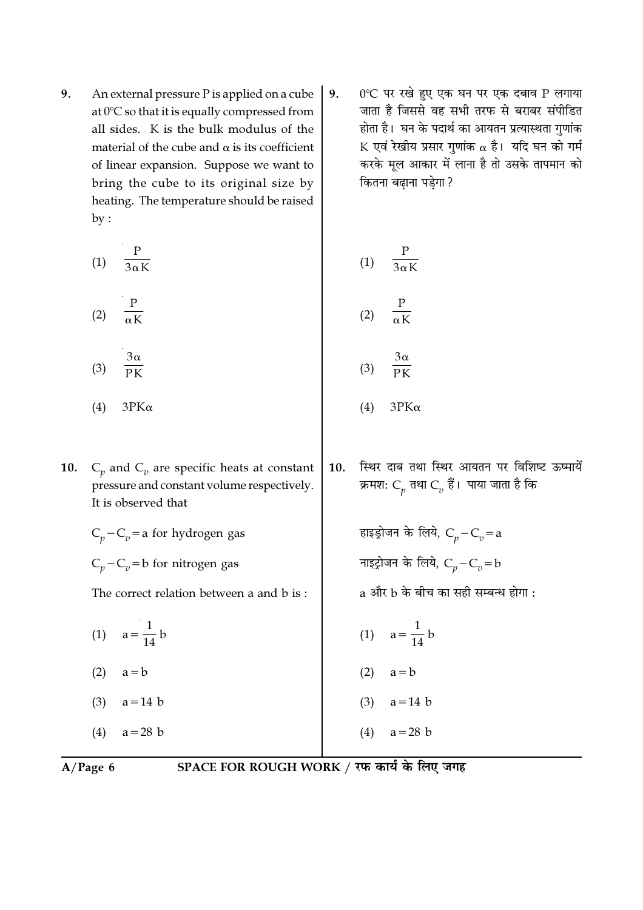- 9. An external pressure P is applied on a cube at  $0^{\circ}$ C so that it is equally compressed from all sides. K is the bulk modulus of the material of the cube and  $\alpha$  is its coefficient of linear expansion. Suppose we want to bring the cube to its original size by heating. The temperature should be raised  $by:$ 
	- $rac{P}{3\alpha K}$  $(1)$  $(2)$  $3\alpha$  $(3)$
	- $(4)$  $3PK\alpha$  $(4)$
- $C_n$  and  $C_v$  are specific heats at constant **10.** pressure and constant volume respectively. It is observed that
	- $C_p C_v =$ a for hydrogen gas  $C_n - C_n = b$  for nitrogen gas

The correct relation between a and b is:

- (1)  $a = \frac{1}{14} b$
- $(2)$  $a = b$
- $(3)$  $a = 14$  b
- $a = 28$  b  $(4)$

0°C पर रखे हुए एक घन पर एक दबाव P लगाया 9. जाता है जिससे वह सभी तरफ से बराबर संपीडित होता है। घन के पदार्थ का आयतन प्रत्यास्थता गुणांक K एवं रेखीय प्रसार गुणांक  $\alpha$  है। यदि घन को गर्म करके मूल आकार में लाना है तो उसके तापमान को कितना बढ़ाना पड़ेगा ?

$$
(1) \quad \frac{P}{3\alpha K}
$$

$$
(2) \quad \frac{P}{\alpha K}
$$

$$
(3) \quad \frac{3\alpha}{PK}
$$

- $3PK\alpha$
- 10. स्थिर दाब तथा स्थिर आयतन पर विशिष्ट ऊष्मायें क्रमशः  $C_p$  तथा  $C_v$  हैं। पाया जाता है कि

हाइड्रोजन के लिये,  $C_p - C_v = a$ नाइट्रोजन के लिये,  $C_p - C_v = b$ 

- $a$  और  $b$  के बीच का सही सम्बन्ध होगा :
- (1)  $a = \frac{1}{14} b$
- $(2)$   $a = b$
- $(3)$  a=14 b
- $a = 28$  b  $(4)$

 $A/Page$  6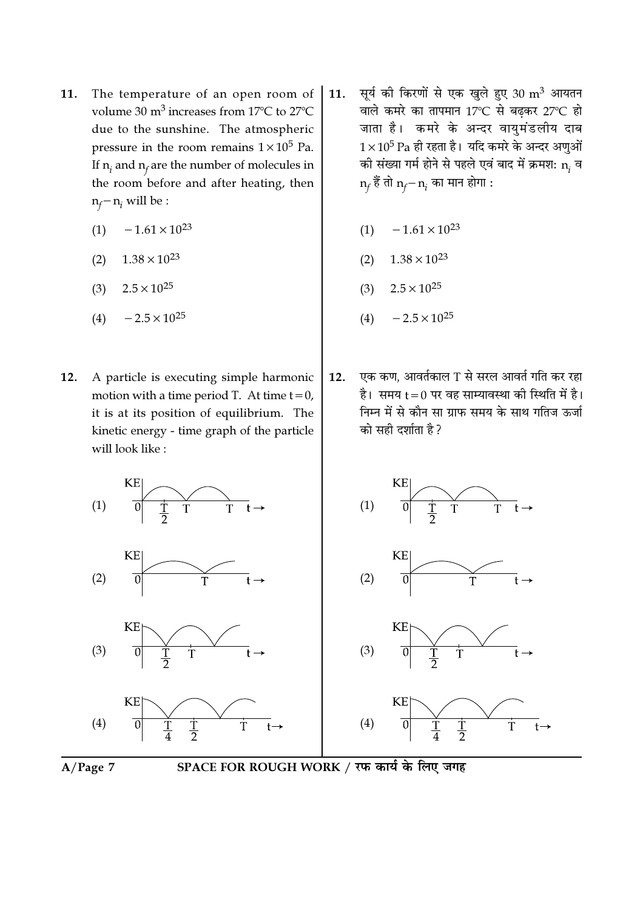- The temperature of an open room of 11. volume 30 m<sup>3</sup> increases from 17°C to 27°C due to the sunshine. The atmospheric pressure in the room remains  $1 \times 10^5$  Pa. If  $n_i$  and  $n_f$  are the number of molecules in the room before and after heating, then  $n_f - n_i$  will be :
	- $-1.61 \times 10^{23}$  $(1)$
	- $1.38 \times 10^{23}$  $(2)$
	- $2.5 \times 10^{25}$  $(3)$
	- $-2.5 \times 10^{25}$  $(4)$
- A particle is executing simple harmonic 12. motion with a time period T. At time  $t = 0$ , it is at its position of equilibrium. The kinetic energy - time graph of the particle will look like:
- सूर्य की किरणों से एक खुले हुए 30 m<sup>3</sup> आयतन 11. वाले कमरे का तापमान 17°C से बढ़कर 27°C हो जाता है। कमरे के अन्दर वायुमंडलीय दाब  $1\times10^5$  Pa ही रहता है। यदि कमरे के अन्दर अणुओं की संख्या गर्म होने से पहले एवं बाद में क्रमश:  $\mathbf{n}_i$  व  $n_f$  हैं तो  $n_f - n_i$  का मान होगा :
	- $-1.61 \times 10^{23}$  $(1)$
	- $1.38 \times 10^{23}$  $(2)$
	- $2.5 \times 10^{25}$  $(3)$
	- $-2.5 \times 10^{25}$  $(4)$
- एक कण, आवर्तकाल T से सरल आवर्त गति कर रहा  $12.$ है। समय t = 0 पर वह साम्यावस्था को स्थिति में है। निम्न में से कौन सा ग्राफ समय के साथ गतिज ऊर्जा को सही दर्शाता है ?





SPACE FOR ROUGH WORK / रफ कार्य के लिए जगह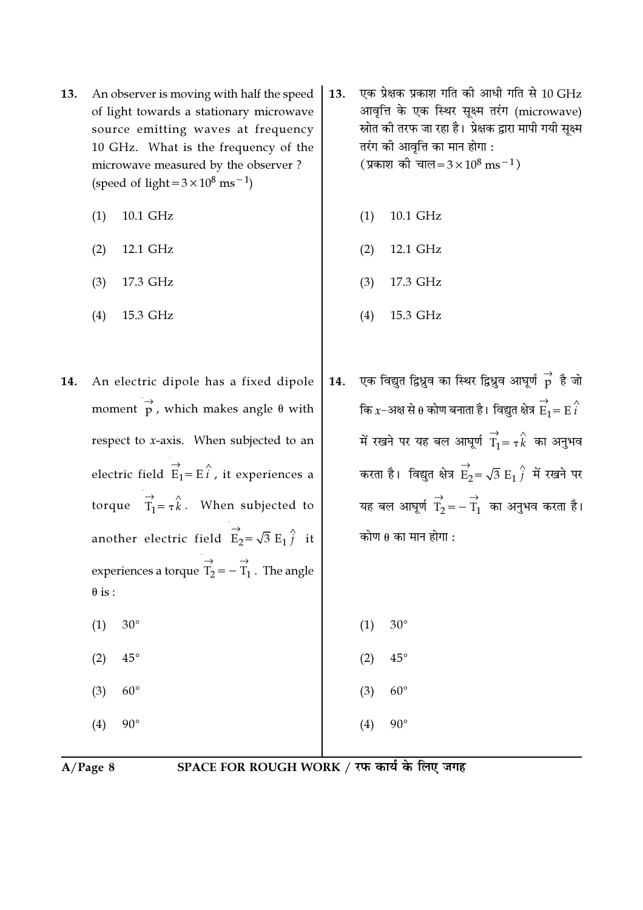- An observer is moving with half the speed 13. of light towards a stationary microwave source emitting waves at frequency 10 GHz. What is the frequency of the microwave measured by the observer? (speed of light =  $3 \times 10^8$  ms<sup>-1</sup>)
	- 10.1 GHz  $(1)$
	- $(2)$ 12.1 GHz
	- 17.3 GHz  $(3)$
	- 15.3 GHz  $(4)$
- An electric dipole has a fixed dipole 14. moment  $\overrightarrow{p}$ , which makes angle  $\theta$  with respect to x-axis. When subjected to an electric field  $\overrightarrow{E}_1 = E \overrightarrow{i}$ , it experiences a torque  $\overrightarrow{T_1} = \tau \hat{k}$ . When subjected to another electric field  $\overrightarrow{E}_2 = \sqrt{3} E_1 \hat{j}$  it experiences a torque  $\overrightarrow{T_2} = -\overrightarrow{T_1}$ . The angle  $\theta$  is:  $30^{\circ}$  $(1)$ 
	- $(2)$  $45^{\circ}$
	- $(3)$  $60^{\circ}$
	- $(4)$  $90^{\circ}$
- एक प्रेक्षक प्रकाश गति की आधी गति से 10 GHz 13. आवृत्ति के एक स्थिर सूक्ष्म तरंग (microwave) स्रोत की तरफ जा रहा है। प्रेक्षक द्वारा मापी गयी सूक्ष्म तरंग की आवृत्ति का मान होगा : (प्रकाश की चाल=3×10<sup>8</sup> ms<sup>-1</sup>)
	- 10.1 GHz  $(1)$
	- 12.1 GHz  $(2)$
	- 17.3 GHz  $(3)$
	- $(4)$ 15.3 GHz
- एक विद्युत द्विध्नुव का स्थिर द्विध्नुव आघूर्ण  $\stackrel{\rightarrow}{p}$  है जो 14. कि  $x$ –अक्ष से  $\theta$  कोण बनाता है। विद्युत क्षेत्र  $\overrightarrow{E}_1 = E\overrightarrow{i}$ में रखने पर यह बल आघूर्ण  $\overrightarrow{T}_1 = \tau \overrightarrow{k}$  का अनुभव करता है। विद्युत क्षेत्र  $\overrightarrow{E}_2 = \sqrt{3} E_1 \overleftarrow{j}$  में रखने पर यह बल आघूर्ण  $\overrightarrow{T}_2 = -\overrightarrow{T}_1$  का अनुभव करता है। कोण  $\theta$  का मान होगा :
	- $30^\circ$  $(1)$
	- $(2)$  $45^{\circ}$
	- $(3)$  $60^{\circ}$
	- $90^{\circ}$  $(4)$

 $A/Page 8$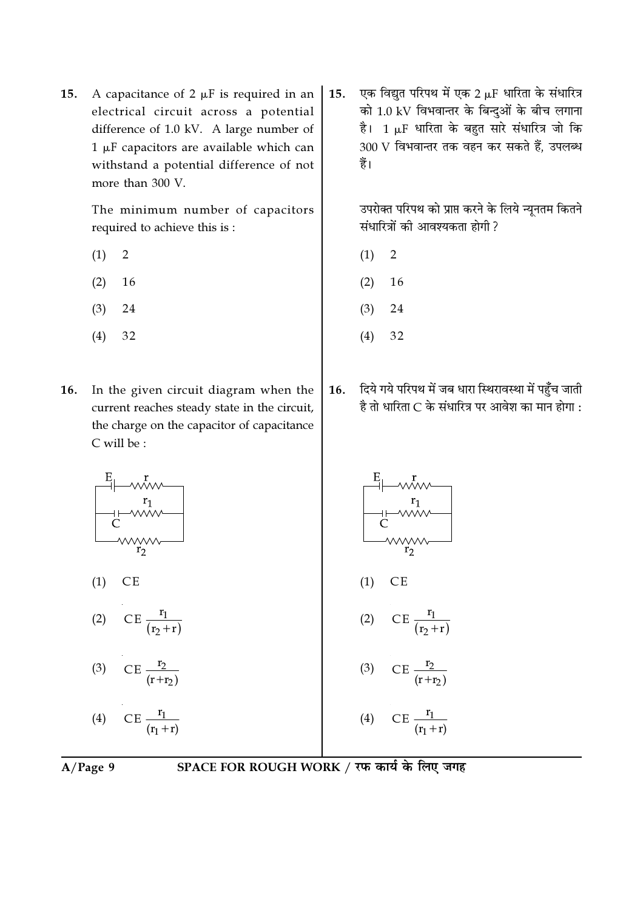A capacitance of  $2 \mu F$  is required in an 15. electrical circuit across a potential difference of 1.0 kV. A large number of  $1 \mu$ F capacitors are available which can withstand a potential difference of not more than 300 V.

> The minimum number of capacitors required to achieve this is:

- $\overline{2}$  $(1)$
- $(2)$ 16
- 24  $(3)$
- $(4)$ 32
- In the given circuit diagram when the 16. current reaches steady state in the circuit, the charge on the capacitor of capacitance C will be:

एक विद्युत परिपथ में एक 2 µF धारिता के संधारित्र 15. को 1.0 kV विभवान्तर के बिन्दुओं के बीच लगाना है। 1 µF धारिता के बहुत सारे संधारित्र जो कि 300 V विभवान्तर तक वहन कर सकते हैं, उपलब्ध हैं।

> उपरोक्त परिपथ को प्राप्त करने के लिये न्यूनतम कितने संधारित्रों की आवश्यकता होगी ?

- $\overline{2}$  $(1)$
- 16  $(2)$
- $(3)$ 24
- $(4)$ 32
- दिये गये परिपथ में जब धारा स्थिरावस्था में पहुँच जाती 16. है तो धारिता C के संधारित्र पर आवेश का मान होगा :



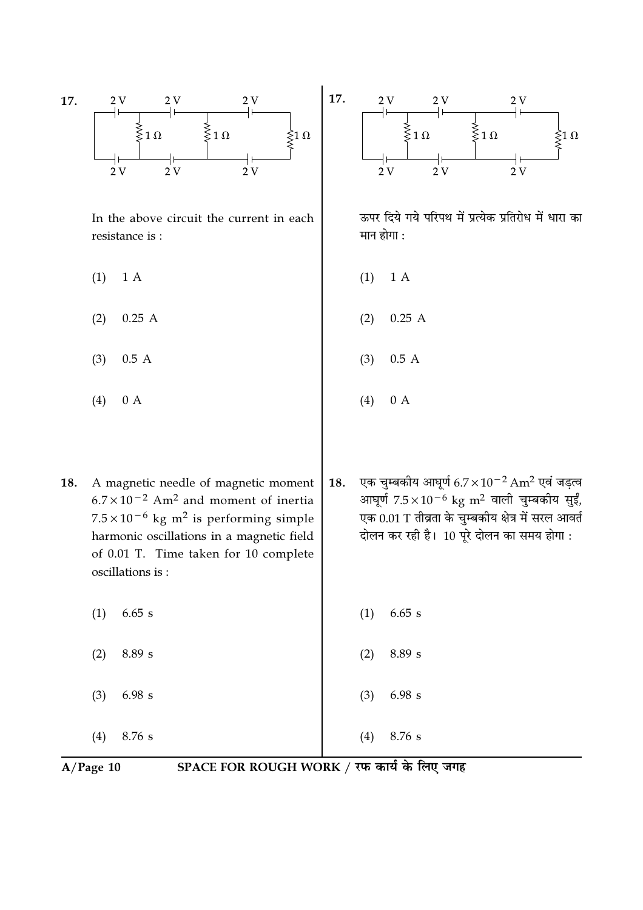

 $A/Page$  10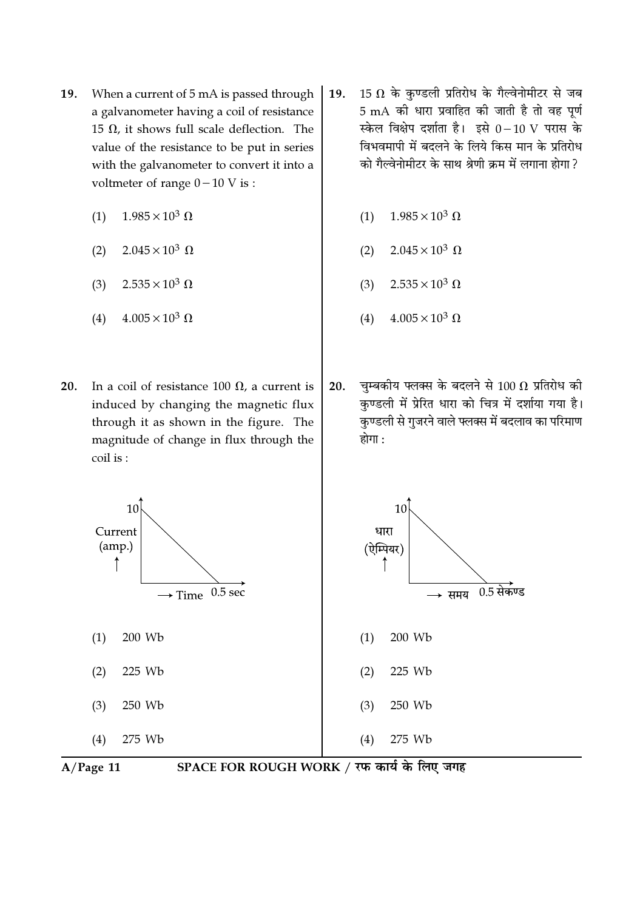- 19. When a current of 5 mA is passed through a galvanometer having a coil of resistance 15  $\Omega$ , it shows full scale deflection. The value of the resistance to be put in series with the galvanometer to convert it into a voltmeter of range  $0-10$  V is :
	- $1.985 \times 10^3 \Omega$  $(1)$
	- $2.045 \times 10^3 \Omega$  $(2)$
	- $2.535 \times 10^3 \Omega$  $(3)$
	- $4.005 \times 10^3 \Omega$  $(4)$
- In a coil of resistance 100  $\Omega$ , a current is  $20.$ induced by changing the magnetic flux through it as shown in the figure. The magnitude of change in flux through the coil is:
- 15  $\Omega$  के कुण्डली प्रतिरोध के गैल्वेनोमीटर से जब 19. 5 mA की धारा प्रवाहित की जाती है तो वह पूर्ण स्केल विक्षेप दर्शाता है। इसे 0-10 V परास के विभवमापी में बदलने के लिये किस मान के प्रतिरोध को गैल्वेनोमीटर के साथ श्रेणी क्रम में लगाना होगा ?
	- $1.985 \times 10^3 \Omega$  $(1)$
	- $2.045 \times 10^3 \Omega$  $(2)$
	- $2.535 \times 10^3 \Omega$  $(3)$
	- $4.005 \times 10^3 \Omega$  $(4)$
- चम्बकीय फ्लक्स के बदलने से 100  $\Omega$  प्रतिरोध की 20. कण्डली में प्रेरित धारा को चित्र में दर्शाया गया है। कृण्डली से गुजरने वाले फ्लक्स में बदलाव का परिमाण होगा :





SPACE FOR ROUGH WORK / रफ कार्य के लिए जगह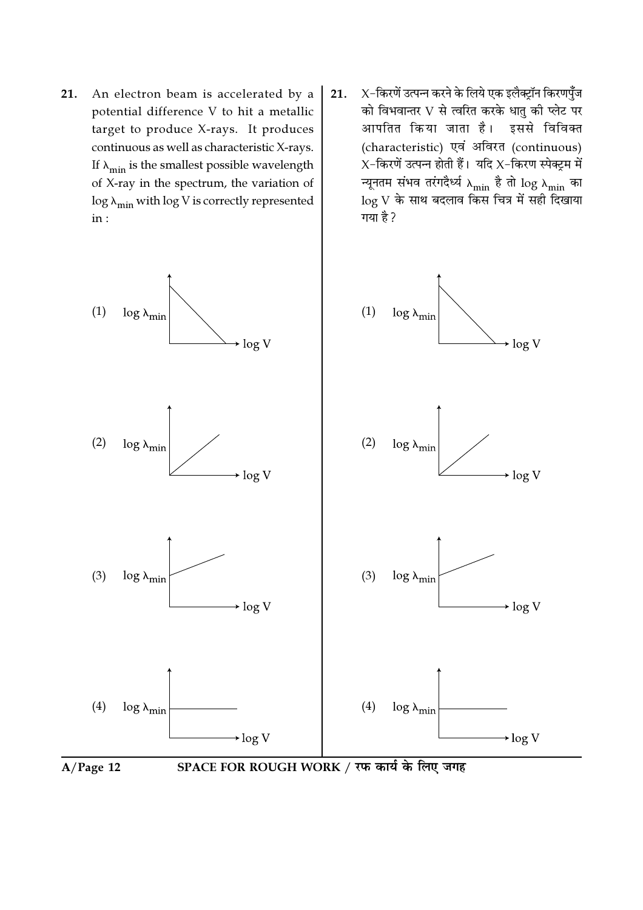- 21. An electron beam is accelerated by a potential difference V to hit a metallic target to produce X-rays. It produces continuous as well as characteristic X-rays. If  $\lambda_{\min}$  is the smallest possible wavelength of X-ray in the spectrum, the variation of  $\log \lambda_{\text{min}}$  with  $\log V$  is correctly represented  $in:$
- $X$ -किरणें उत्पन्न करने के लिये एक इलैक्ट्रॉन किरणपुँज 21. को विभवान्तर V से त्वरित करके धातु की प्लेट पर आपतित किया जाता है। इससे विविक्त (characteristic) एवं अविरत (continuous)  $X$ -किरणें उत्पन्न होती हैं। यदि  $X$ -किरण स्पेक्ट्रम में न्यूनतम संभव तरंगदैर्ध्य  $\lambda_{\rm min}$  है तो  $\log \lambda_{\rm min}$  का  $\log\,$ े के साथ बदलाव किस चित्र में सही दिखाया गया है?

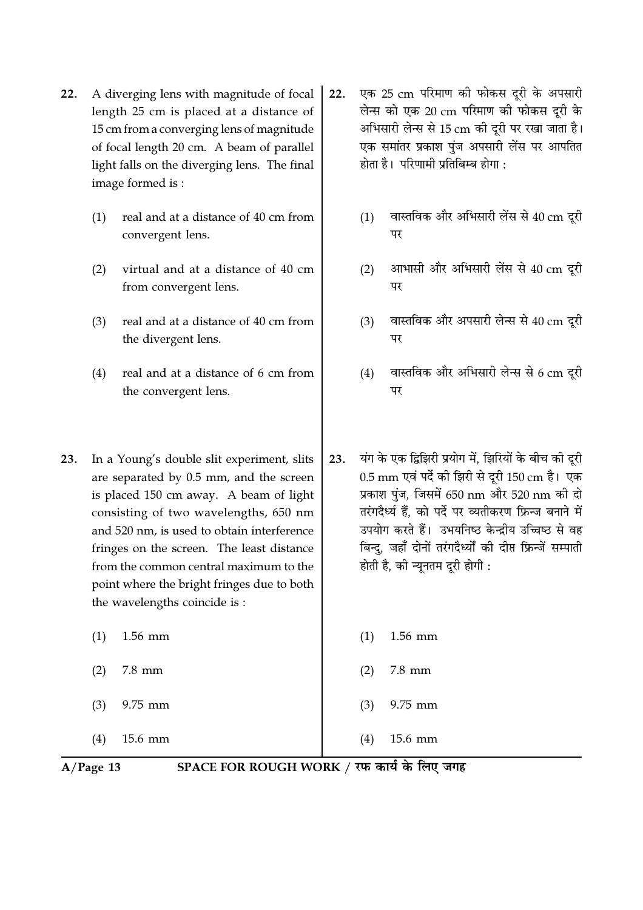- $22.$ A diverging lens with magnitude of focal length 25 cm is placed at a distance of 15 cm from a converging lens of magnitude of focal length 20 cm. A beam of parallel light falls on the diverging lens. The final image formed is:
	- $(1)$ real and at a distance of 40 cm from convergent lens.
	- virtual and at a distance of 40 cm  $(2)$ from convergent lens.
	- real and at a distance of 40 cm from  $(3)$ the divergent lens.
	- $(4)$ real and at a distance of 6 cm from the convergent lens.
- 23. In a Young's double slit experiment, slits are separated by 0.5 mm, and the screen is placed 150 cm away. A beam of light consisting of two wavelengths, 650 nm and 520 nm, is used to obtain interference fringes on the screen. The least distance from the common central maximum to the point where the bright fringes due to both the wavelengths coincide is:

 $(1)$  $1.56$  mm  $(2)$  $7.8$  mm  $(3)$ 9.75 mm 15.6 mm  $(4)$ 

- एक 25 cm परिमाण की फोकस दूरी के अपसारी  $22.$ लेन्स को एक 20 cm परिमाण की फोकस दूरी के अभिसारी लेन्स से 15 cm की दूरी पर रखा जाता है। एक समांतर प्रकाश पुंज अपसारी लेंस पर आपतित होता है। परिणामी प्रतिबिम्ब होगा :
	- वास्तविक और अभिसारी लेंस से 40 cm दूरी  $(1)$ पर
	- आभासी और अभिसारी लेंस से 40 cm दरी  $(2)$ पर
	- वास्तविक और अपसारी लेन्स से 40 cm दूरी  $(3)$ पर
	- वास्तविक और अभिसारी लेन्स से 6 cm दरी  $(4)$ पर
- यंग के एक द्विझिरी प्रयोग में, झिरियों के बीच की दुरी 23. 0.5 mm एवं पर्दे की झिरी से दूरी 150 cm है। एक प्रकाश पंज. जिसमें 650 nm और 520 nm की दो तरंगदैर्ध्य हैं. को पर्दे पर व्यतीकरण फ्रिन्ज बनाने में उपयोग करते हैं। उभयनिष्ठ केन्द्रीय उच्चिष्ठ से वह बिन्द, जहाँ दोनों तरंगदैर्ध्यों की दीप्त फ्रिन्जें सम्पाती होती है, की न्यूनतम दूरी होगी :
	- 1.56 mm  $(1)$  $(2)$  $7.8$  mm 9.75 mm  $(3)$

15.6 mm

 $A/Page$  13

SPACE FOR ROUGH WORK / रफ कार्य के लिए जगह

 $(4)$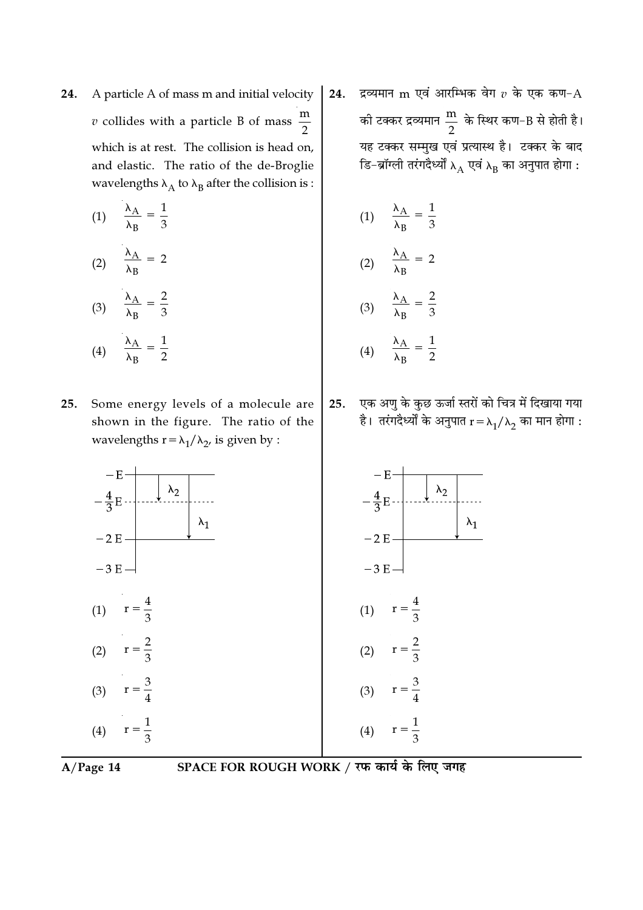24. A particle A of mass m and initial velocity v collides with a particle B of mass  $\frac{m}{2}$ which is at rest. The collision is head on, and elastic. The ratio of the de-Broglie wavelengths  $\lambda_{\rm A}$  to  $\lambda_{\rm B}$  after the collision is :

(1) 
$$
\frac{\lambda_A}{\lambda_B} = \frac{1}{3}
$$
  
(2) 
$$
\frac{\lambda_A}{\lambda_B} = 2
$$
  
(3) 
$$
\frac{\lambda_A}{\lambda_B} = \frac{2}{3}
$$

$$
(4) \qquad \frac{\lambda_{\rm A}}{\lambda_{\rm B}} = \frac{1}{2}
$$

25. Some energy levels of a molecule are shown in the figure. The ratio of the wavelengths  $r = \lambda_1 / \lambda_2$ , is given by :

24. द्रव्यमान m एवं आरम्भिक वेग  $v$  के एक कण- ${\rm A}$ की टक्कर द्रव्यमान  $\frac{\text{m}}{2}$  के स्थिर कण–B से होती है। यह टक्कर सम्मुख एवं प्रत्यास्थ है। टक्कर के बाद डि–ब्रॉग्ली तरंगदैर्ध्यों  $\lambda_{\rm A}$  एवं  $\lambda_{\rm B}$  का अनुपात होगा :

(1) 
$$
\frac{\lambda_A}{\lambda_B} = \frac{1}{3}
$$
  
(2) 
$$
\frac{\lambda_A}{\lambda_B} = 2
$$
  
(3) 
$$
\frac{\lambda_A}{\lambda_B} = \frac{2}{3}
$$
  
(4) 
$$
\frac{\lambda_A}{\lambda_B} = \frac{1}{2}
$$

25. एक अणु के कुछ ऊर्जा स्तरों को चित्र में दिखाया गया है। तरंगदैर्ध्यों के अनुपात  $\rm r\,{=}\, \lambda_1/\lambda_2$  का मान होगा :





A/Page 14 SPACE FOR ROUGH WORK / रफ कार्य के लिए जगह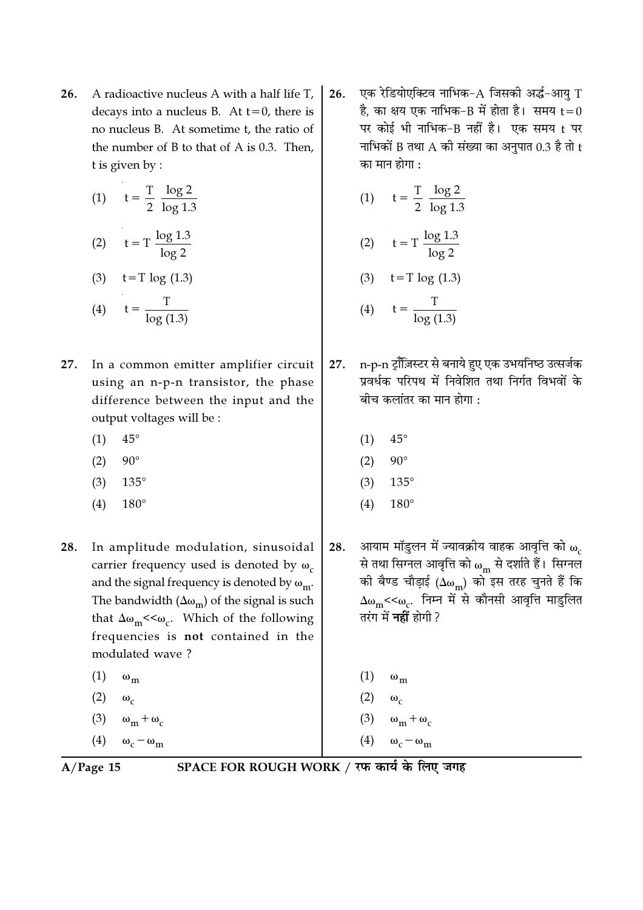A radioactive nucleus A with a half life T, 26. decays into a nucleus B. At  $t=0$ , there is no nucleus B. At sometime t, the ratio of the number of B to that of A is 0.3. Then, t is given by :

(1) 
$$
t = \frac{T}{2} \frac{\log 2}{\log 1.3}
$$
  
\n(2)  $t = T \frac{\log 1.3}{\log 2}$   
\n(3)  $t = T \log (1.3)$   
\n(4)  $t = \frac{T}{\log (1.3)}$ 

- 27. In a common emitter amplifier circuit using an n-p-n transistor, the phase difference between the input and the output voltages will be :
	- $45^{\circ}$  $(1)$
	- $90^\circ$  $(2)$
	- $(3)$  $135^\circ$
	- $(4)$  $180^\circ$
- 28. In amplitude modulation, sinusoidal carrier frequency used is denoted by  $\omega_c$ and the signal frequency is denoted by  $\omega_{\rm m}$ . The bandwidth  $(\Delta\omega_m)$  of the signal is such that  $\Delta\omega_{\rm m}$  << $\omega_{\rm c}$ . Which of the following frequencies is not contained in the modulated wave?
	- $(1)$  $\omega_{\rm m}$
	- $(2)$  $\omega_c$
	- $\omega_m + \omega_c$  $(3)$
	- (4)  $\omega_c \omega_m$

एक रेडियोएक्टिव नाभिक-A जिसकी अर्द्ध-आयु T 26. है, का क्षय एक नाभिक-B में होता है। समय  $\mathsf{t}\!=\!0$ पर कोई भी नाभिक-B नहीं है। एक समय t पर नाभिकों B तथा  $A$  की संख्या का अनुपात  $0.3$  है तो t का मान होगा :

(1) 
$$
t = \frac{T}{2} \frac{\log 2}{\log 1.3}
$$
  
\n(2)  $t = T \frac{\log 1.3}{\log 2}$   
\n(3)  $t = T \log (1.3)$   
\n(4)  $t = \frac{T}{\log (1.3)}$ 

- n-p-n ट्रॉजिस्टर से बनाये हुए एक उभयनिष्ठ उत्सर्जक 27. प्रवर्धक परिपथ में निवेशित तथा निर्गत विभवों के बीच कलांतर का मान होगा :
	- $45^{\circ}$  $(1)$
	- $90^\circ$  $(2)$
	- $(3)$  $135^\circ$
	- $(4)$  $180^\circ$
- आयाम मॉडुलन में ज्यावक्रीय वाहक आवृत्ति को  $\omega_c$ 28. से तथा सिग्नल आवृत्ति को  $\omega_{\rm m}$  से दर्शाते हैं। सिग्नल की बैण्ड चौड़ाई ( $\Delta\omega_{\rm m}$ ) को इस तरह चुनते हैं कि  $\Delta\omega_{\rm m}$ << $\omega_{\rm c}$ . निम्न में से कौनसी आवृत्ति माडुलित तरंग में **नहीं** होगी ?

 $\omega_{m}$  $(1)$ 

- $(2)$  $\omega_c$
- $\omega_m + \omega_c$  $(3)$
- $\omega_c \omega_m$  $(4)$

 $A/Page$  15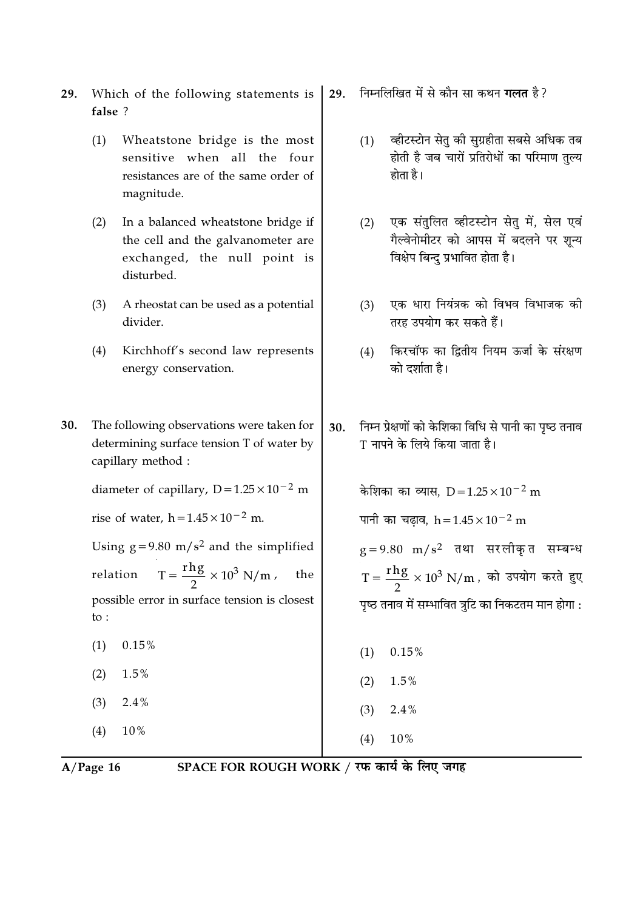- Which of the following statements is 29. false ?
	- $(1)$ Wheatstone bridge is the most sensitive when all the four resistances are of the same order of magnitude.
	- $(2)$ In a balanced wheatstone bridge if the cell and the galvanometer are exchanged, the null point is disturbed.
	- $(3)$ A rheostat can be used as a potential divider.
	- Kirchhoff's second law represents  $(4)$ energy conservation.
- 30. The following observations were taken for determining surface tension T of water by capillary method :

diameter of capillary,  $D = 1.25 \times 10^{-2}$  m

rise of water,  $h = 1.45 \times 10^{-2}$  m.

Using  $g = 9.80$  m/s<sup>2</sup> and the simplified  $T = \frac{rhg}{2} \times 10^3$  N/m, relation the possible error in surface tension is closest  $\mathsf{to}$ :

- $0.15%$  $(1)$
- $(2)$  $1.5%$
- $2.4%$  $(3)$
- $(4)$  $10%$
- निम्नलिखित में से कौन सा कथन **गलत** है ? 29.
	- व्हीटस्टोन सेतु की सुग्रहीता सबसे अधिक तब  $(1)$ होती है जब चारों प्रतिरोधों का परिमाण तल्य होता है।
	- एक संतुलित व्हीटस्टोन सेतु में, सेल एवं  $(2)$ गैल्वेनोमीटर को आपस में बदलने पर शुन्य विक्षेप बिन्दु प्रभावित होता है।
	- एक धारा नियंत्रक को विभव विभाजक की  $(3)$ तरह उपयोग कर सकते हैं।
	- किरचॉफ का दितीय नियम ऊर्जा के संरक्षण  $(4)$ को दर्शाता है।
- निम्न प्रेक्षणों को केशिका विधि से पानी का पृष्ठ तनाव 30. T नापने के लिये किया जाता है।

केशिका का व्यास.  $D = 1.25 \times 10^{-2}$  m पानी का चढाव. h =  $1.45 \times 10^{-2}$  m  $g = 9.80$  m/s<sup>2</sup> तथा सरलीकृत सम्बन्ध  $T = \frac{rhg}{2} \times 10^3$  N/m, को उपयोग करते हुए पृष्ठ तनाव में सम्भावित त्रूटि का निकटतम मान होगा :

- $0.15%$  $(1)$
- $(2)$  $1.5\%$
- $(3)$  $2.4%$

10%

 $(4)$ 

 $A/Page$  16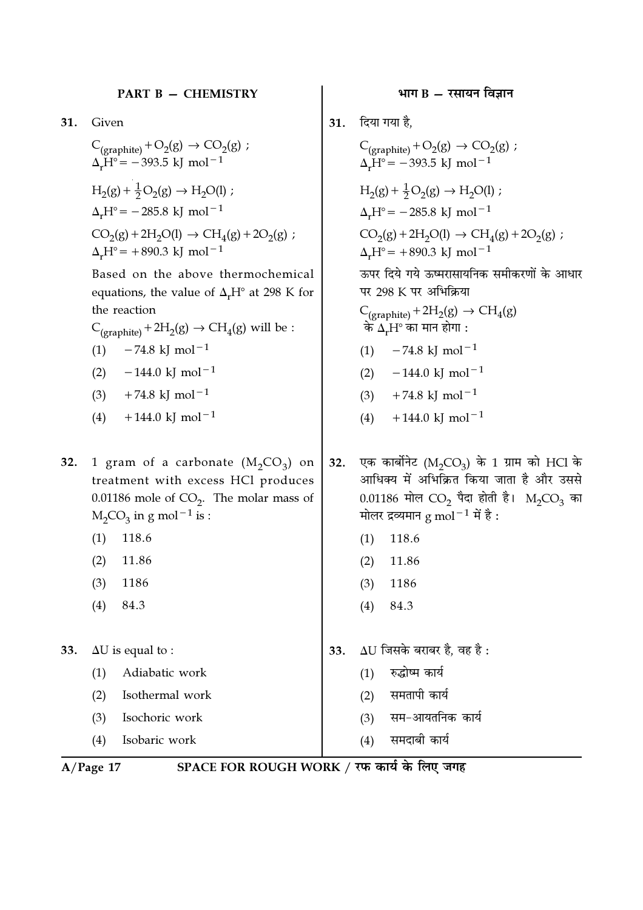31. Given

$$
C_{(graphite)} + O_2(g) \rightarrow CO_2(g) ;
$$
  
\n
$$
\Delta_r H^\circ = -393.5 \text{ kJ mol}^{-1}
$$
  
\n
$$
H_2(g) + \frac{1}{2}O_2(g) \rightarrow H_2O(l) ;
$$
  
\n
$$
\Delta_r H^\circ = -285.8 \text{ kJ mol}^{-1}
$$
  
\n
$$
CO_2(g) + 2H_2O(l) \rightarrow CH_4(g) + 2O_2(g)
$$
  
\n
$$
\Delta_r H^\circ = +890.3 \text{ kJ mol}^{-1}
$$

Based on the above thermochemical equations, the value of  $\Delta_r H^{\circ}$  at 298 K for the reaction

 $C_{(orophite)} + 2H_2(g) \rightarrow CH_4(g)$  will be :

- $(1)$  $-74.8$  kJ mol<sup>-1</sup>
- $(2)$  $-144.0 \text{ kJ} \text{ mol}^{-1}$
- $+74.8$  kJ mol<sup>-1</sup>  $(3)$
- $+144.0$  kJ mol<sup>-1</sup>  $(4)$

1 gram of a carbonate  $(M_2CO_3)$  on 32. treatment with excess HCl produces 0.01186 mole of  $CO<sub>2</sub>$ . The molar mass of  $M_2CO_3$  in g mol<sup>-1</sup> is :

- $(1)$ 118.6
- $(2)$ 11.86
- $(3)$ 1186
- $(4)$ 84.3

 $\Delta U$  is equal to : 33.

> $(1)$ Adiabatic work

 $(2)$ Isothermal work

- Isochoric work  $(3)$
- Isobaric work  $(4)$
- भाग  $B \overline{x}$ सायन विज्ञान
- **31. दिया गया है,**

 $\cdot$ 

C<sub>(graphite)</sub> + O<sub>2</sub>(g)  $\rightarrow$  CO<sub>2</sub>(g) ;<br> $\Delta_r$ H° = -393.5 kJ mol<sup>-1</sup>  $H_2(g) + \frac{1}{2}O_2(g) \rightarrow H_2O(l)$ ;  $\Delta_{r}H^{\circ}$  = -285.8 kJ mol<sup>-1</sup>  $\mathrm{CO}_2(\mathrm{g}) + 2\mathrm{H}_2\mathrm{O}(\mathrm{l}) \rightarrow \mathrm{CH}_4(\mathrm{g}) + 2\mathrm{O}_2(\mathrm{g})$  ;  $\Delta_r H^{\circ}$  = +890.3 kJ mol<sup>-1</sup> ऊपर दिये गये ऊष्मरासायनिक समीकरणों के आधार पर 298 K पर अभिक्रिया  $C_{(graphite)} + 2H_2(g) \rightarrow CH_4(g)$ के  $\Delta$ ,H° का मान होगा : (1)  $-74.8 \text{ kJ} \text{ mol}^{-1}$  $-144.0$  kJ mol<sup>-1</sup>  $(2)$  $+74.8$  kJ mol<sup>-1</sup>  $(3)$  $+144.0 \text{ kJ} \text{ mol}^{-1}$  $(4)$ एक कार्बोनेट ( $M_2CO_3$ ) के 1 ग्राम को HCl के

- 32. आधिक्य में अभिक्रित किया जाता है और उससे 0.01186 मोल  $CO_2$  पैदा होती है। M<sub>2</sub>CO<sub>3</sub> का मोलर द्रव्यमान g mol $^{-1}$  में है:
	- $(1)$ 118.6
	- 11.86  $(2)$
	- $(3)$ 1186
	- 84.3  $(4)$
- $\Delta$ U जिसके बराबर है. वह है: 33.
	- रुद्धोष्म कार्य  $(1)$
	- समतापी कार्य  $(2)$
	- सम-आयतनिक कार्य  $(3)$
	- समदाबी कार्य  $(4)$

 $A/Page 17$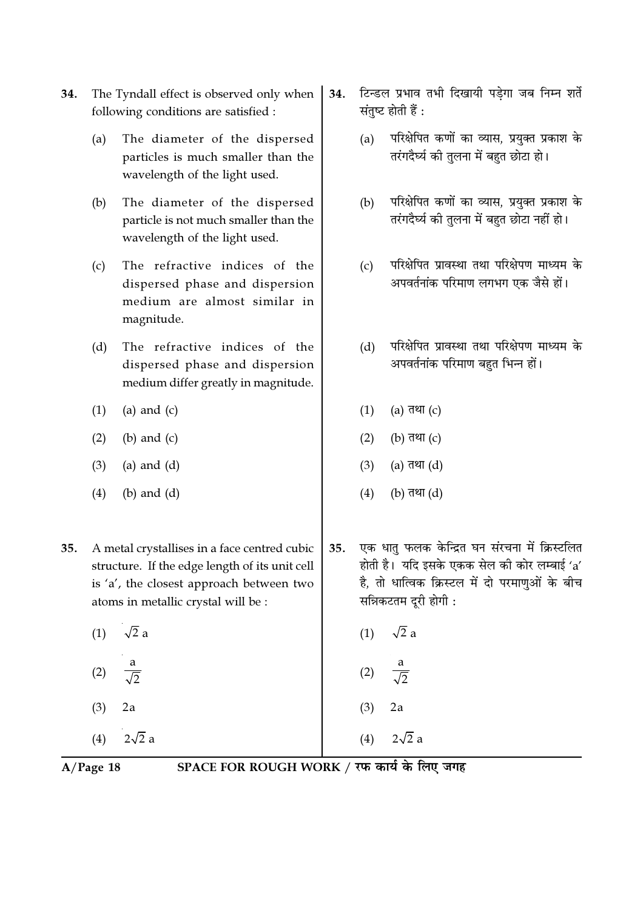- The Tyndall effect is observed only when 34. following conditions are satisfied :
	- The diameter of the dispersed  $(a)$ particles is much smaller than the wavelength of the light used.
	- $(b)$ The diameter of the dispersed particle is not much smaller than the wavelength of the light used.
	- The refractive indices of the  $(c)$ dispersed phase and dispersion medium are almost similar in magnitude.
	- The refractive indices of the  $(d)$ dispersed phase and dispersion medium differ greatly in magnitude.
	- $(1)$ (a) and  $(c)$
	- $(2)$  $(b)$  and  $(c)$
	- $(3)$  $(a)$  and  $(d)$
	- $(b)$  and  $(d)$  $(4)$
- 35. A metal crystallises in a face centred cubic structure. If the edge length of its unit cell is 'a', the closest approach between two atoms in metallic crystal will be :
	- $\sqrt{2}$  a  $(1)$  $(2)$  $(3)$  $2a$
	- $(4)$  $2\sqrt{2}$  a
- टिन्डल प्रभाव तभी दिखायी पड़ेगा जब निम्न शर्ते 34. संतुष्ट होती हैं :
	- परिक्षेपित कणों का व्यास. प्रयक्त प्रकाश के  $(a)$ तरंगदैर्घ्य की तुलना में बहुत छोटा हो।
	- परिक्षेपित कणों का व्यास, प्रयुक्त प्रकाश के  $(b)$ तरंगदैर्घ्य की तुलना में बहुत छोटा नहीं हो।
	- परिक्षेपित प्रावस्था तथा परिक्षेपण माध्यम के  $(c)$ अपवर्तनांक परिमाण लगभग एक जैसे हों।
	- परिक्षेपित प्रावस्था तथा परिक्षेपण माध्यम के  $(d)$ अपवर्तनांक परिमाण बहुत भिन्न हों।
	- (a) तथा  $(c)$  $(1)$
	- $(2)$ (b) तथा  $(c)$
	- $(3)$ (a) तथा  $(d)$
	- $(4)$ (b) तथा (d)
- एक धात फलक केन्द्रित घन संरचना में क्रिस्टलित 35. होती है। यदि इसके एकक सेल की कोर लम्बाई 'a' है, तो धात्विक क्रिस्टल में दो परमाणुओं के बीच सन्निकटतम दरी होगी :
	- $\sqrt{2}$  a  $(1)$
	- $(2)$
	- $(3)$  $2a$
	- $(4)$  $2\sqrt{2}$  a

 $A/Page$  18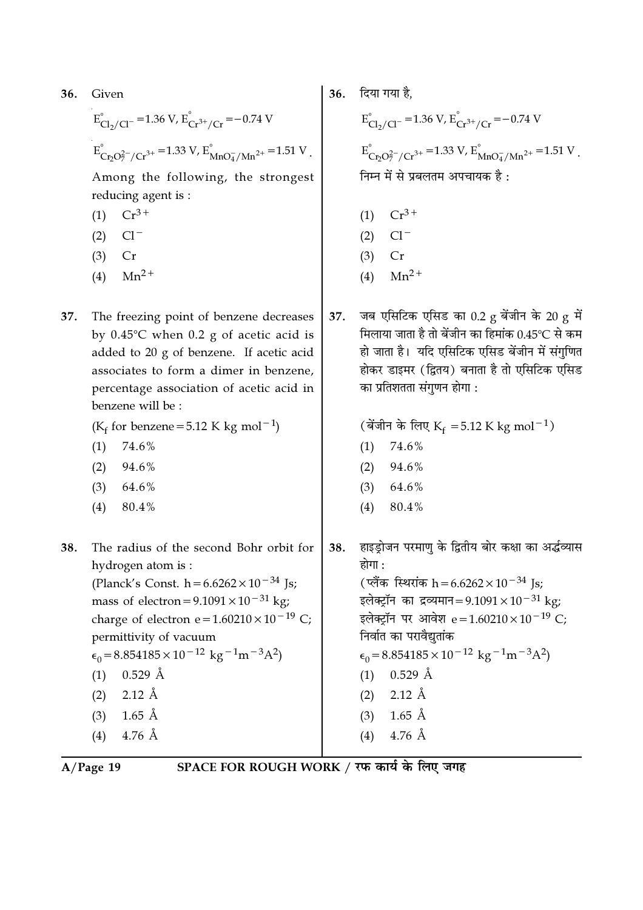| 36. | Given                                                                                                                                                                                                                                                                                                                                                                                                                                       | 36. | दिया गया है,                                                                                                                                                                                                                                                                                                                                                                                                                                                             |
|-----|---------------------------------------------------------------------------------------------------------------------------------------------------------------------------------------------------------------------------------------------------------------------------------------------------------------------------------------------------------------------------------------------------------------------------------------------|-----|--------------------------------------------------------------------------------------------------------------------------------------------------------------------------------------------------------------------------------------------------------------------------------------------------------------------------------------------------------------------------------------------------------------------------------------------------------------------------|
|     | $E_{Cl_2/Cl^-}^{\circ}$ = 1.36 V, $E_{Cr^{3+}/Cr}^{\circ}$ = -0.74 V                                                                                                                                                                                                                                                                                                                                                                        |     | $E_{Cl_2/Cl^-}^{\circ}$ = 1.36 V, $E_{Cr^{3+}/Cr}^{\circ}$ = -0.74 V                                                                                                                                                                                                                                                                                                                                                                                                     |
|     | $E_{Cr_2O_7^{2-}/Cr^{3+}}^{\circ}$ = 1.33 V, $E_{MnO_4^{2}/Mn^{2+}}^{\circ}$ = 1.51 V.                                                                                                                                                                                                                                                                                                                                                      |     | $E_{Cr_0Q_7^2/(Cr^{3+}}^{\circ} = 1.33 \text{ V}, E_{MnO_4^2/Mn^{2+}}^{\circ} = 1.51 \text{ V}.$                                                                                                                                                                                                                                                                                                                                                                         |
|     | Among the following, the strongest<br>reducing agent is :                                                                                                                                                                                                                                                                                                                                                                                   |     | निम्न में से प्रबलतम अपचायक है :                                                                                                                                                                                                                                                                                                                                                                                                                                         |
|     | $Cr^{3+}$<br>(1)                                                                                                                                                                                                                                                                                                                                                                                                                            |     | $Cr^{3+}$<br>(1)                                                                                                                                                                                                                                                                                                                                                                                                                                                         |
|     | $Cl^-$<br>(2)                                                                                                                                                                                                                                                                                                                                                                                                                               |     | $Cl^-$<br>(2)                                                                                                                                                                                                                                                                                                                                                                                                                                                            |
|     | (3)<br>Cr                                                                                                                                                                                                                                                                                                                                                                                                                                   |     | (3)<br>Cr                                                                                                                                                                                                                                                                                                                                                                                                                                                                |
|     | $Mn^{2+}$<br>(4)                                                                                                                                                                                                                                                                                                                                                                                                                            |     | $Mn^2$ <sup>+</sup><br>(4)                                                                                                                                                                                                                                                                                                                                                                                                                                               |
| 37. | The freezing point of benzene decreases<br>by $0.45^{\circ}$ C when $0.2$ g of acetic acid is<br>added to 20 g of benzene. If acetic acid<br>associates to form a dimer in benzene,<br>percentage association of acetic acid in<br>benzene will be :<br>( $K_f$ for benzene = 5.12 K kg mol <sup>-1</sup> )<br>(1)<br>74.6%<br>94.6%<br>(2)<br>(3)<br>64.6%<br>80.4%<br>(4)                                                                 | 37. | जब एसिटिक एसिड का 0.2 g बेंजीन के 20 g में<br>मिलाया जाता है तो बेंजीन का हिमांक 0.45℃ से कम<br>हो जाता है।  यदि एसिटिक एसिड बेंजीन में संगुणित<br>होकर डाइमर (द्वितय) बनाता है तो एसिटिक एसिड<br>का प्रतिशतता संगुणन होगा :<br>(बेंजीन के लिए K <sub>f</sub> = 5.12 K kg mol <sup>-1</sup> )<br>74.6%<br>(1)<br>94.6%<br>(2)<br>64.6%<br>(3)<br>80.4%<br>(4)                                                                                                            |
| 38. | The radius of the second Bohr orbit for<br>hydrogen atom is :<br>(Planck's Const. $h = 6.6262 \times 10^{-34}$ Js;<br>mass of electron = $9.1091 \times 10^{-31}$ kg;<br>charge of electron e= $1.60210 \times 10^{-19}$ C;<br>permittivity of vacuum<br>$\epsilon_0$ = 8.854185 × 10 <sup>-12</sup> kg <sup>-1</sup> m <sup>-3</sup> A <sup>2</sup> )<br>$0.529$ Å<br>(1)<br>$2.12 \text{ Å}$<br>(2)<br>$1.65$ Å<br>(3)<br>$4.76$ Å<br>(4) | 38. | हाइड्रोजन परमाणु के द्वितीय बोर कक्षा का अर्द्धव्यास<br>होगा :<br>(प्लैंक स्थिरांक h = 6.6262 × 10 <sup>-34</sup> Js;<br>इलेक्ट्रॉन का द्रव्यमान=9.1091×10 <sup>-31</sup> kg;<br>इलेक्ट्रॉन पर आवेश e = 1.60210 × 10 <sup>-19</sup> C;<br>निर्वात का परावैद्युतांक<br>$\epsilon_0$ = 8.854185 × 10 <sup>-12</sup> kg <sup>-1</sup> m <sup>-3</sup> A <sup>2</sup> )<br>$0.529 \text{ Å}$<br>(1)<br>$2.12 \text{ Å}$<br>(2)<br>$1.65$ Å<br>(3)<br>$4.76 \text{ Å}$<br>(4) |

A/Page 19 SPACE FOR ROUGH WORK / रफ कार्य के लिए जगह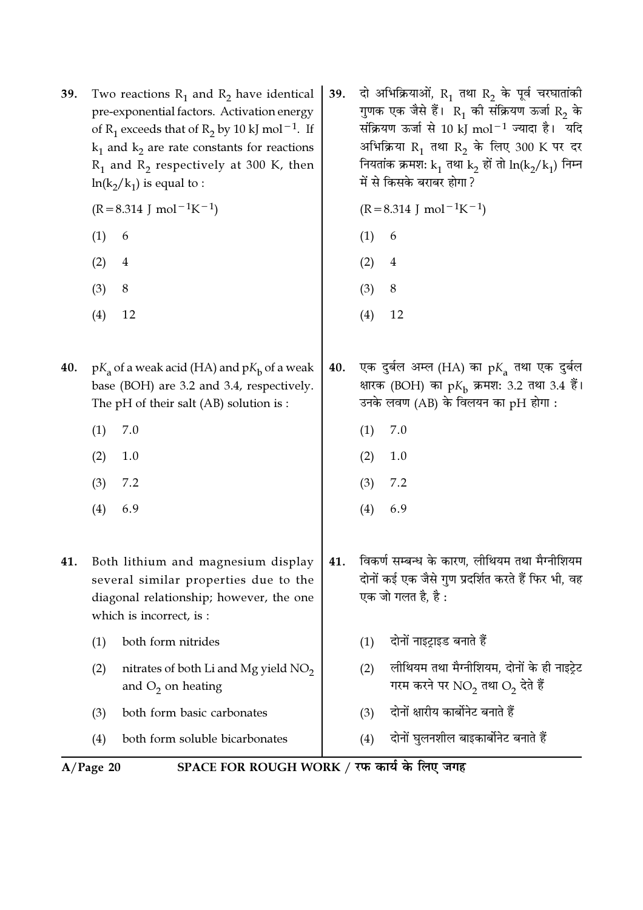39. Two reactions  $R_1$  and  $R_2$  have identical pre-exponential factors. Activation energy of R<sub>1</sub> exceeds that of R<sub>2</sub> by 10 kJ mol<sup>-1</sup>. If  $k_1$  and  $k_2$  are rate constants for reactions  $R_1$  and  $R_2$  respectively at 300 K, then  $ln(k_2/k_1)$  is equal to :

 $(R=8.314 \text{ J} \text{ mol}^{-1}\text{K}^{-1})$ 

- $(1)$ 6
- $(2)$  $\overline{4}$
- $(3)$ 8
- $(4)$ 12
- 40.  $pK_a$  of a weak acid (HA) and  $pK_b$  of a weak base (BOH) are 3.2 and 3.4, respectively. The pH of their salt (AB) solution is :
	- $(1)$ 7.0
	- $(2)$ 1.0
	- $(3)$  $7.2$
	- $(4)$ 6.9
- 41. Both lithium and magnesium display several similar properties due to the diagonal relationship; however, the one which is incorrect, is:
	- both form nitrides  $(1)$
	- $(2)$ nitrates of both Li and Mg yield NO<sub>2</sub> and  $O_2$  on heating
	- $(3)$ both form basic carbonates
	- both form soluble bicarbonates  $(4)$

दो अभिक्रियाओं,  $R_1$  तथा  $R_2$  के पूर्व चरघातांकी 39. गुणक एक जैसे हैं।  $R_1$  की संक्रियण ऊर्जा  $R_2$  के संक्रियण ऊर्जा से 10 kJ mol<sup>-1</sup> ज्यादा है। यदि अभिक्रिया R<sub>1</sub> तथा R<sub>2</sub> के लिए 300 K पर दर नियतांक क्रमश: k<sub>1</sub> तथा k<sub>2</sub> हों तो ln(k<sub>2</sub>/k<sub>1</sub>) निम्न में से किसके बराबर होगा ?

 $(R=8.314 \text{ J} \text{ mol}^{-1}\text{K}^{-1})$ 

- $(1)$
- $(2)$  $\overline{4}$
- $(3)$ 8
- $(4)$ 12
- एक दुर्बल अम्ल (HA) का  $pK_a$  तथा एक दुर्बल 40. क्षारक (BOH) का pK<sub>b</sub> क्रमश: 3.2 तथा 3.4 हैं। उनके लवण (AB) के विलयन का pH होगा :
	- $(1)$ 7.0
	- $(2)$ 1.0
	- $7.2$  $(3)$
	- $(4)$ 6.9
- विकर्ण सम्बन्ध के कारण, लीथियम तथा मैग्नीशियम 41. दोनों कई एक जैसे गुण प्रदर्शित करते हैं फिर भी, वह एक जो गलत है. है :
	- $(1)$  दोनों नाइट़ाइड बनाते हैं
	- लीथियम तथा मैग्नीशियम, दोनों के ही नाइट्रेट  $(2)$ गरम करने पर  $NO_2$  तथा  $O_2$  देते हैं
	- दोनों क्षारीय कार्बोनेट बनाते हैं  $(3)$
	- दोनों घुलनशील बाइकार्बोनेट बनाते हैं  $(4)$

 $A/Page$  20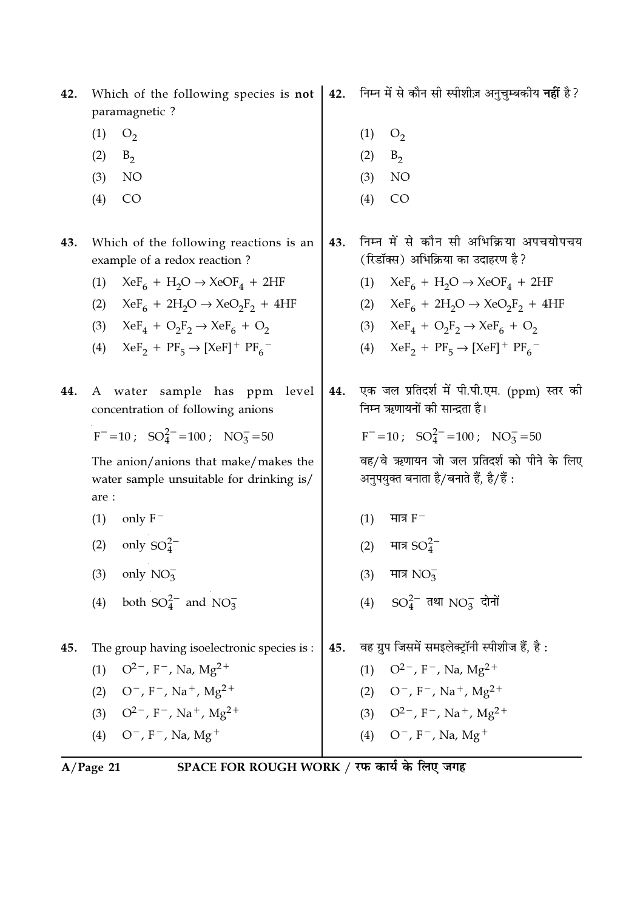| 42. | Which of the following species is not<br>paramagnetic ?                                   |     | 42. निम्न में से कौन सी स्पीशीज़ अनुचुम्बकीय नहीं है?                                |
|-----|-------------------------------------------------------------------------------------------|-----|--------------------------------------------------------------------------------------|
|     | (1)<br>O <sub>2</sub>                                                                     |     | (1)<br>O <sub>2</sub>                                                                |
|     | (2)<br>$B_2$                                                                              |     | (2)<br>$B_2$                                                                         |
|     | NO<br>(3)                                                                                 |     | NO<br>(3)                                                                            |
|     | CO<br>(4)                                                                                 |     | CO<br>(4)                                                                            |
| 43. | Which of the following reactions is an<br>example of a redox reaction?                    | 43. | निम्न में से कौन सी अभिक्रिया अपचयोपचय<br>(रिडॉक्स) अभिक्रिया का उदाहरण है?          |
|     | $XeF_6 + H_2O \rightarrow XeOF_4 + 2HF$<br>(1)                                            |     | $XeF_6 + H_2O \rightarrow XeOF_4 + 2HF$<br>(1)                                       |
|     | $XeF_6 + 2H_2O \rightarrow XeO_2F_2 + 4HF$<br>(2)                                         |     | (2) $XeF_6 + 2H_2O \rightarrow XeO_2F_2 + 4HF$                                       |
|     | $XeF_4 + O_2F_2 \rightarrow XeF_6 + O_2$<br>(3)                                           |     | (3) $XeF_4 + O_2F_2 \rightarrow XeF_6 + O_2$                                         |
|     | $XeF_2 + PF_5 \rightarrow [XeF]^+ PF_6^-$<br>(4)                                          |     | (4) $XeF_2 + PF_5 \rightarrow [XeF]^+ PF_6^-$                                        |
| 44. | A water sample has ppm<br>level<br>concentration of following anions                      | 44. | एक जल प्रतिदर्श में पी.पी.एम. (ppm) स्तर की<br>निम्न ऋणायनों की सान्द्रता है।        |
|     | $F^- = 10$ ; $SO_4^{2-} = 100$ ; $NO_3^- = 50$                                            |     | $F^- = 10$ ; $SO_4^{2-} = 100$ ; $NO_3^- = 50$                                       |
|     | The anion/anions that make/makes the<br>water sample unsuitable for drinking is/<br>are : |     | वह/वे ऋणायन जो जल प्रतिदर्श को पीने के लिए<br>अनुपयुक्त बनाता है/बनाते हैं, है/हैं : |
|     | (1)<br>only $F^-$                                                                         |     | मात्र $F^-$<br>(1)                                                                   |
|     | only $SO_4^{2-}$<br>(2)                                                                   |     | मात्र $SO_4^{2-}$<br>(2)                                                             |
|     | only $NO_3^-$<br>(3)                                                                      |     | मात्र $NO_3$<br>(3)                                                                  |
|     | both $SO_4^{2-}$ and $NO_3^-$<br>(4)                                                      |     | (4) $SO_4^{2-}$ तथा $NO_3^-$ दोनों                                                   |
| 45. | The group having isoelectronic species is :                                               | 45. | वह ग्रुप जिसमें समइलेक्ट्रॉनी स्पीशीज हैं, है:                                       |
|     | $Q^{2-}$ , F <sup>-</sup> , Na, Mg <sup>2+</sup><br>(1)                                   |     | $O^{2-}$ , F <sup>-</sup> , Na, Mg <sup>2+</sup><br>(1)                              |
|     | $O^-$ , F <sup>-</sup> , Na <sup>+</sup> , Mg <sup>2+</sup><br>(2)                        |     | $(2)$ O <sup>-</sup> , F <sup>-</sup> , Na <sup>+</sup> , Mg <sup>2+</sup>           |
|     | (3) $Q^2$ , F <sup>-</sup> , Na <sup>+</sup> , Mg <sup>2+</sup>                           |     | (3) $Q^{2-}$ , F <sup>-</sup> , Na <sup>+</sup> , Mg <sup>2+</sup>                   |
|     | (4) $O^-$ , F <sup>-</sup> , Na, Mg <sup>+</sup>                                          |     | (4) $O^-$ , F <sup>-</sup> , Na, Mg <sup>+</sup>                                     |
|     |                                                                                           |     |                                                                                      |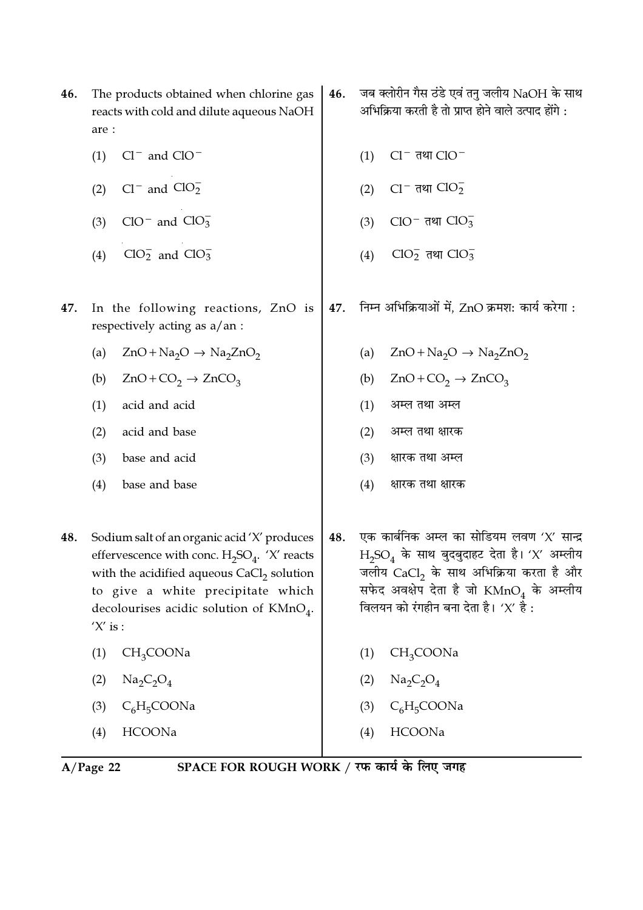| 46. | The products obtained when chlorine gas<br>reacts with cold and dilute aqueous NaOH<br>are :                                                                                                                                                  | 46. | जब क्लोरीन गैस ठंडे एवं तनु जलीय NaOH के साथ<br>अभिक्रिया करती है तो प्राप्त होने वाले उत्पाद होंगे :                                                                                                                               |
|-----|-----------------------------------------------------------------------------------------------------------------------------------------------------------------------------------------------------------------------------------------------|-----|-------------------------------------------------------------------------------------------------------------------------------------------------------------------------------------------------------------------------------------|
|     | $Cl^-$ and $ClO^-$<br>(1)                                                                                                                                                                                                                     |     | $Cl^-$ तथा $ClO^-$<br>(1)                                                                                                                                                                                                           |
|     | Cl <sup>-</sup> and $CIO_2^-$<br>(2)                                                                                                                                                                                                          |     | $Cl^-$ तथा $ClO_2^-$<br>(2)                                                                                                                                                                                                         |
|     | $ClO^{-}$ and $ClO_3^{-}$<br>(3)                                                                                                                                                                                                              |     | ClO <sup>-</sup> तथा ClO <sub>3</sub><br>(3)                                                                                                                                                                                        |
|     | $ClO2-$ and $ClO3-$<br>(4)                                                                                                                                                                                                                    |     | ClO <sub>2</sub> तथा ClO <sub>3</sub><br>(4)                                                                                                                                                                                        |
| 47. | In the following reactions, ZnO is<br>respectively acting as a/an :                                                                                                                                                                           | 47. | निम्न अभिक्रियाओं में, ZnO क्रमश: कार्य करेगा :                                                                                                                                                                                     |
|     | $ZnO + Na2O \rightarrow Na2ZnO2$<br>(a)                                                                                                                                                                                                       |     | $ZnO + Na2O \rightarrow Na2ZnO2$<br>(a)                                                                                                                                                                                             |
|     | (b)<br>$ZnO+CO_2 \rightarrow ZnCO_3$                                                                                                                                                                                                          |     | $ZnO+CO2 \rightarrow ZnCO3$<br>(b)                                                                                                                                                                                                  |
|     | acid and acid<br>(1)                                                                                                                                                                                                                          |     | अम्ल तथा अम्ल<br>(1)                                                                                                                                                                                                                |
|     | acid and base<br>(2)                                                                                                                                                                                                                          |     | (2)<br>अम्ल तथा क्षारक                                                                                                                                                                                                              |
|     | base and acid<br>(3)                                                                                                                                                                                                                          |     | (3)<br>क्षारक तथा अम्ल                                                                                                                                                                                                              |
|     | (4)<br>base and base                                                                                                                                                                                                                          |     | (4)<br>क्षारक तथा क्षारक                                                                                                                                                                                                            |
| 48. | Sodium salt of an organic acid 'X' produces<br>effervescence with conc. $H_2SO_4$ . 'X' reacts<br>with the acidified aqueous $CaCl2$ solution<br>to give a white precipitate which<br>decolourises acidic solution of $KMnO4$ .<br>$'X'$ is : | 48. | एक कार्बनिक अम्ल का सोडियम लवण 'X' सान्द्र<br>$H_2SO_4$ के साथ बुदबुदाहट देता है। 'X' अम्लीय<br>जलीय CaCl, के साथ अभिक्रिया करता है और<br>सफेद अवक्षेप देता है जो $\text{KMnO}_4$ के अम्लीय<br>विलयन को रंगहीन बना देता है। 'X' है: |
|     | CH <sub>3</sub> COONa<br>(1)                                                                                                                                                                                                                  |     | CH <sub>3</sub> COONa<br>(1)                                                                                                                                                                                                        |
|     | $Na_2C_2O_4$<br>(2)                                                                                                                                                                                                                           |     | $Na_2C_2O_4$<br>(2)                                                                                                                                                                                                                 |
|     | $C_6H_5COONa$<br>(3)                                                                                                                                                                                                                          |     | $C_6H_5COONa$<br>(3)                                                                                                                                                                                                                |
|     | HCOONa<br>(4)                                                                                                                                                                                                                                 |     | HCOONa<br>(4)                                                                                                                                                                                                                       |

 $\overline{A/Page 22}$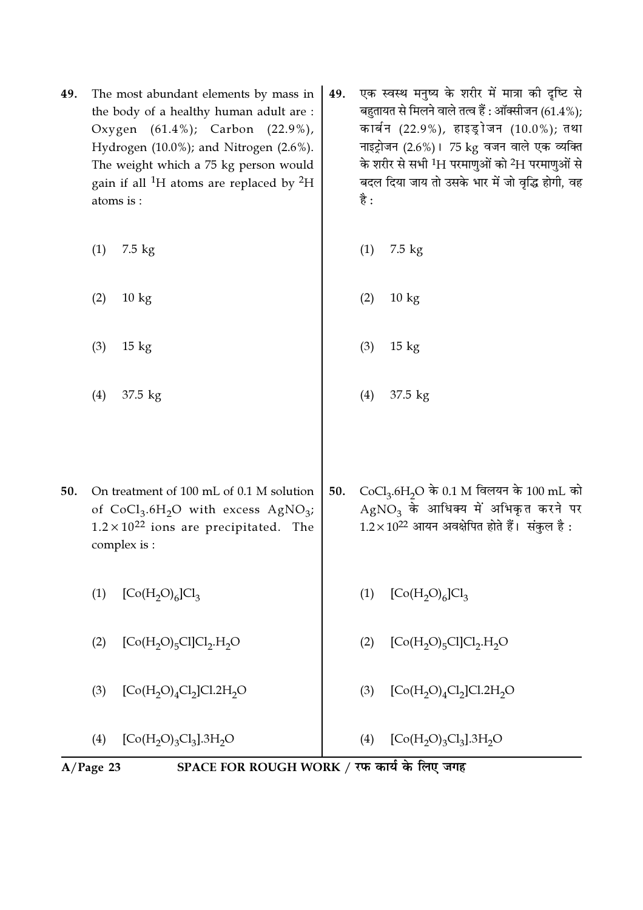49. The most abundant elements by mass in the body of a healthy human adult are : Oxygen (61.4%); Carbon (22.9%), Hydrogen (10.0%); and Nitrogen (2.6%). The weight which a 75 kg person would gain if all <sup>1</sup>H atoms are replaced by  ${}^{2}$ H atoms is :

(1) 7.5 kg

- (2) 10 kg
- (3) 15 kg
- (4) 37.5 kg
- 49. एक स्वस्थ मनुष्य के शरीर में मात्रा की दृष्टि से बहुतायत से मिलने वाले तत्व हैं : ऑक्सीजन (61.4%); कार्बन (22.9%), हाइड्रोजन (10.0%); तथा नाइट्रोजन (2.6%)। 75 kg वजन वाले एक व्यक्ति के शरीर से सभी  $^1\mathrm{H}$  परमाणुओं को  $^2\mathrm{H}$  परमाणुओं से बदल दिया जाय तो उसके भार में जो वृद्धि होगी, वह है :
	- (1) 7.5 kg
- (2) 10 kg
	- (3) 15 kg
		- (4) 37.5 kg
- 50.  $\rm~CoCl_{3}.6H_{2}O~$ के  $\rm 0.1~M$  विलयन के  $\rm 100~mL$  को  $\mathrm{AgNO}_{3}$  के आधिक्य में अभिकृत करने पर  $1.2\times10^{22}$  आयन अवक्षेपित होते हैं। संकुल है: 50. On treatment of 100 mL of 0.1 M solution of  $CoCl<sub>3</sub>.6H<sub>2</sub>O$  with excess  $AgNO<sub>3</sub>$ ;  $1.2 \times 10^{22}$  ions are precipitated. The complex is :
	- (1)  $[Co(H<sub>2</sub>O)<sub>6</sub>]Cl<sub>3</sub>$
	- (2)  $[Co(H_2O)_5Cl]Cl_2.H_2O$
	- (3)  $[Co(H_2O)_4Cl_2]Cl.2H_2O$

(4)  $[Co(H<sub>2</sub>O)<sub>3</sub>Cl<sub>3</sub>].3H<sub>2</sub>O$ 

- (1)  $[Co(H<sub>2</sub>O)<sub>6</sub>]Cl<sub>3</sub>$
- (2)  $[Co(H_2O)_5Cl]Cl_2.H_2O$
- (3)  $[Co(H_2O)_4Cl_2]Cl.2H_2O$
- (4)  $[Co(H<sub>2</sub>O)<sub>3</sub>Cl<sub>3</sub>].3H<sub>2</sub>O$

## A/Page 23 SPACE FOR ROUGH WORK / रफ कार्य के लिए जगह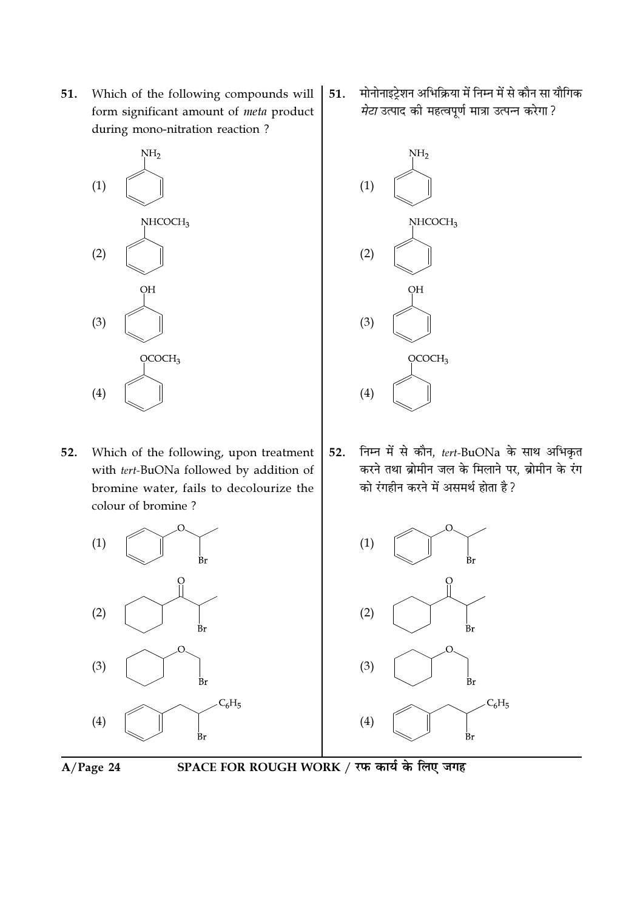51. Which of the following compounds will form significant amount of meta product during mono-nitration reaction?



Which of the following, upon treatment 52. with tert-BuONa followed by addition of bromine water, fails to decolourize the colour of bromine?



मोनोनाइट्रेशन अभिक्रिया में निम्न में से कौन सा यौगिक 51. *मेटा* उत्पाद की महत्वपूर्ण मात्रा उत्पन्न करेगा?



निम्न में से कौन, tert-BuONa के साथ अभिकृत 52. करने तथा ब्रोमीन जल के मिलाने पर, ब्रोमीन के रंग को रंगहीन करने में असमर्थ होता है ?





SPACE FOR ROUGH WORK / रफ कार्य के लिए जगह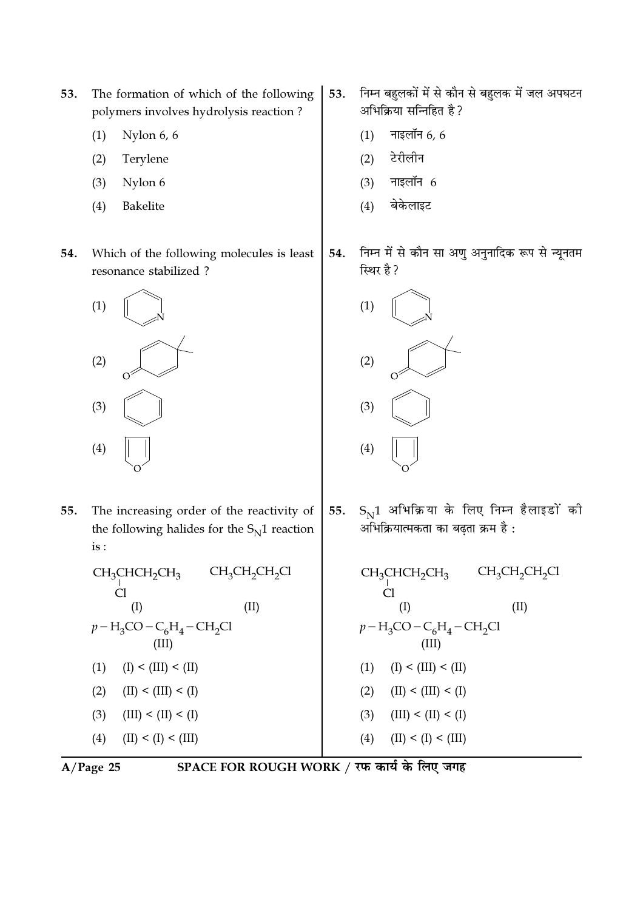- 53. The formation of which of the following polymers involves hydrolysis reaction?
	- $(1)$ Nylon 6, 6
	- $(2)$ Terylene
	- Nylon 6  $(3)$
	- $(4)$ Bakelite
- 54. Which of the following molecules is least resonance stabilized?



- 55. The increasing order of the reactivity of the following halides for the  $S_N1$  reaction  $is:$ 
	- $\begin{array}{c}\text{CH}_3\text{CHCH}_2\text{CH}_3\\\text{Cl}\end{array}$  $CH_3CH_2CH_2Cl$  $(I)$  $(II)$  $p - H_3$ CO – C<sub>6</sub>H<sub>4</sub> – CH<sub>2</sub>Cl  $(III)$  $(I) < (III) < (II)$  $(1)$  $(2)$  $(II) < (III) < (I)$  $(3)$  $(III) < (II) < (I)$  $(4)$  $(II) < (I) < (III)$

$$
A/Page 25
$$

- निम्न बहुलकों में से कौन से बहुलक में जल अपघटन 53. अभिक्रिया सन्निहित है?
	- नाइलॉन  $6, 6$  $(1)$
	- टेरीलीन  $(2)$
	- नाइलॉन  $6$  $(3)$
	- बेकेलाइट  $(4)$
- निम्न में से कौन सा अणु अनुनादिक रूप से न्यूनतम 54. स्थिर है ?



 $S_N1$  अभिक्रिया के लिए निम्न हैलाइडों की 55. अभिक्रियात्मकता का बढता क्रम है :

CH<sub>3</sub>CHCH<sub>2</sub>CH<sub>3</sub> CH<sub>3</sub>CH<sub>2</sub>CH<sub>2</sub>Cl  
\nCl  
\n(I) (II)  
\n
$$
p-H_3CO-C_6H_4-CH_2Cl
$$
  
\n(III)  
\n(1) (I) < (III) < (II)  
\n(2) (II) < (III) < (I)  
\n(3) (III) < (II) < (I)  
\n(4) (II) < (I) < (III)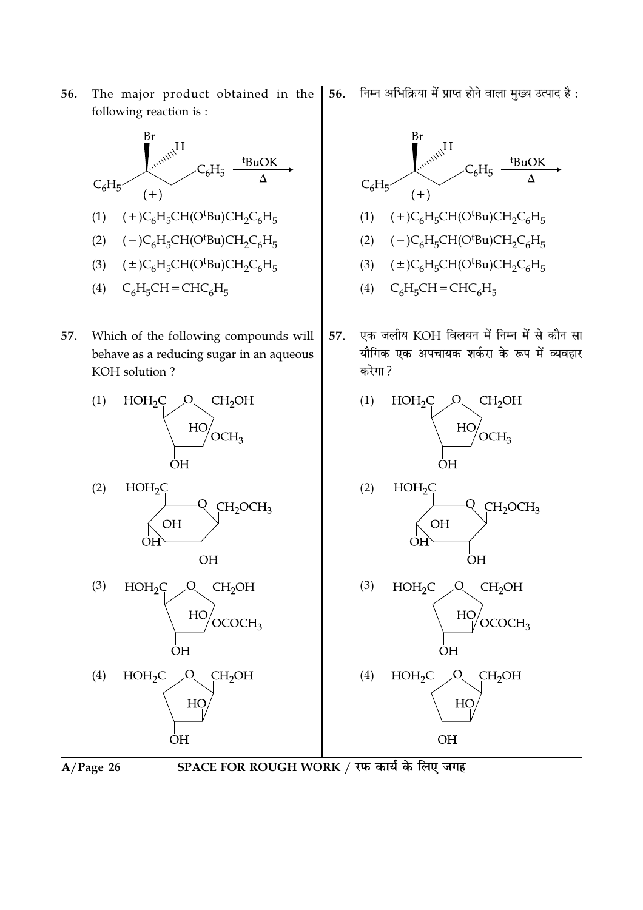56. The major product obtained in the following reaction is:



57. Which of the following compounds will behave as a reducing sugar in an aqueous KOH solution?





 $HOH<sub>2</sub>C$ CH<sub>2</sub>OH  $Q$  $(4)$ HO ÒH

 $A/Page$  26



निम्न अभिक्रिया में प्राप्त होने वाला मुख्य उत्पाद है : 56.



एक जलीय KOH विलयन में निम्न में से कौन सा 57. यौगिक एक अपचायक शर्करा के रूप में व्यवहार करेगा?







 $H_{\bigvee}$ 

ÒН

CH<sub>2</sub>OH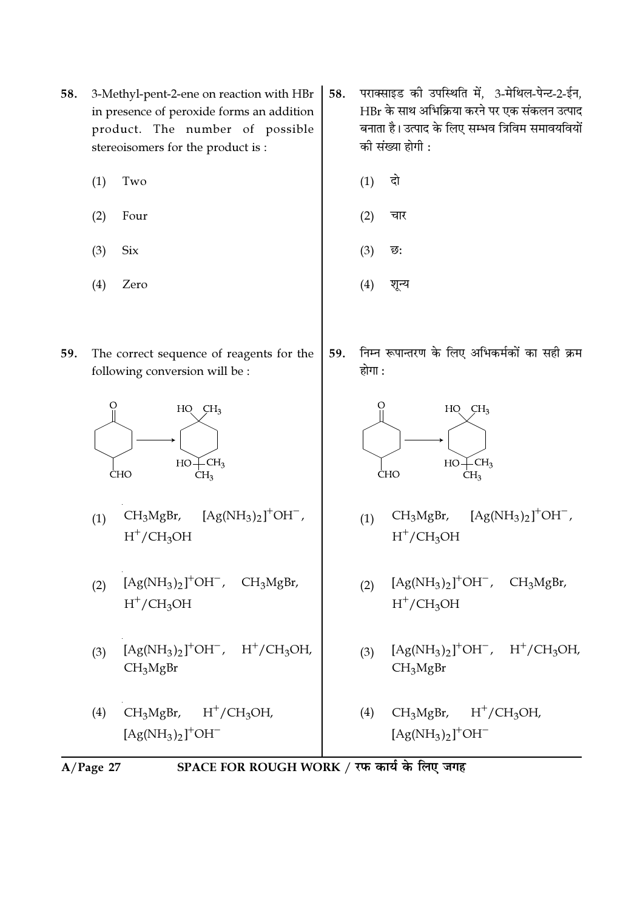- 58. 3-Methyl-pent-2-ene on reaction with HBr in presence of peroxide forms an addition product. The number of possible stereoisomers for the product is:
	- $(1)$ Two
	- $(2)$ Four
	- $(3)$ **Six**
	- $(4)$ Zero
- 59. The correct sequence of reagents for the following conversion will be :



- $CH<sub>3</sub>MgBr,$  $[Ag(NH_3)_2]^+OH^-$ ,  $(1)$  $H^+/CH_3OH$
- $[Ag(NH_3)_2]^+OH^-$ , CH<sub>3</sub>MgBr,  $(2)$  $H^+/CH_3OH$
- $[Ag(NH_3)_2]^+OH^-$ ,  $H^+/CH_3OH$ ,  $(3)$  $CH<sub>3</sub>MgBr$
- $CH_3MgBr, H^+/CH_3OH,$  $(4)$  $[Ag(NH_3)_2]^+OH^-$
- पराक्साइड की उपस्थिति में, 3-मेथिल-पेन्ट-2-ईन, 58. HBr के साथ अभिक्रिया करने पर एक संकलन उत्पाद बनाता है। उत्पाद के लिए सम्भव त्रिविम समावयवियों की संख्या होगी :
	- दो  $(1)$
	- $(2)$ चार
	- $(3)$ ন্ত:
	- $(4)$ शून्य
- निम्न रूपान्तरण के लिए अभिकर्मकों का सही क्रम 59. होगा :



- $[Ag(NH_3)_2]^+OH^-$ ,  $CH<sub>3</sub>MgBr,$  $(1)$  $H^+/CH_3OH$
- $[Ag(NH_3)_2]^+OH^-$ , CH<sub>3</sub>MgBr,  $(2)$  $H^+/CH_3OH$
- $[Ag(NH_3)_2]^+OH^-$ ,  $H^+/CH_3OH$ ,  $(3)$  $CH<sub>3</sub>MgBr$
- $H^+/CH_3OH$  $CH<sub>3</sub>MgBr,$  $(4)$  $[Ag(NH_3)_2]^+OH^-$
- SPACE FOR ROUGH WORK / रफ कार्य के लिए जगह  $A/Page$  27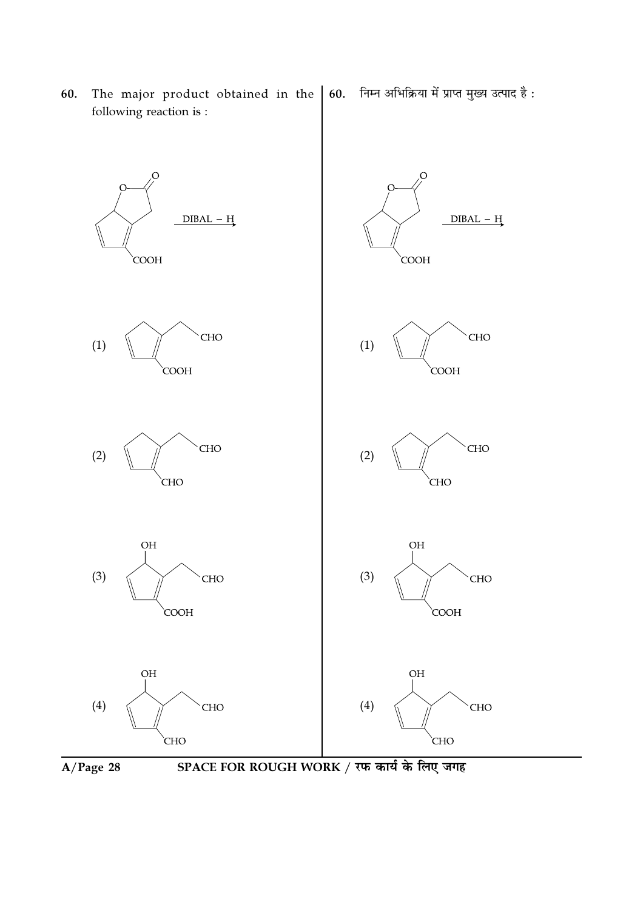

The major product obtained in the

following reaction is:

60.

60. निम्न अभिक्रिया में प्राप्त मुख्य उत्पाद है:



SPACE FOR ROUGH WORK / रफ कार्य के लिए जगह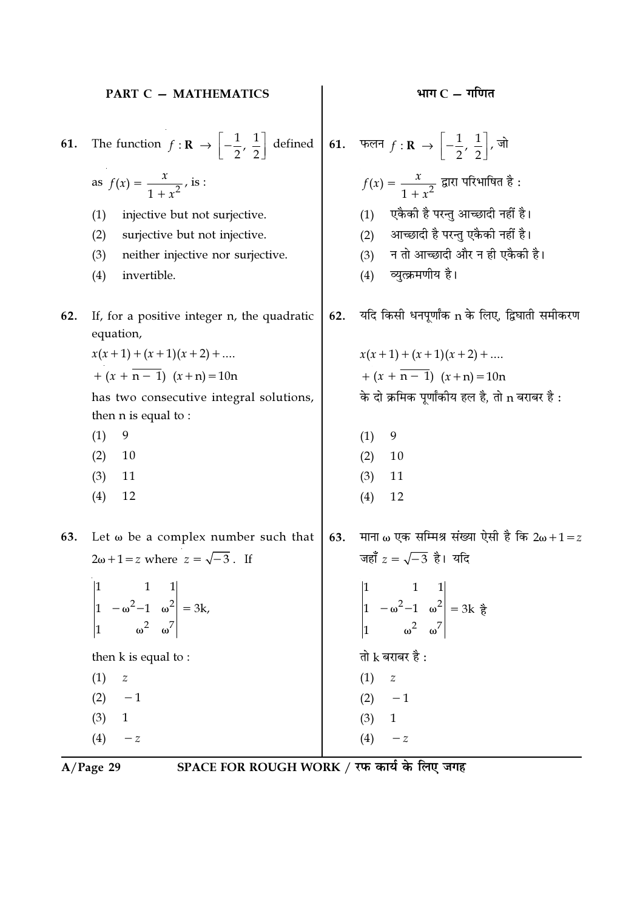|     | PART C - MATHEMATICS                                                                                                                                                                                                        |     | भाग $C$ – गणित                                                                                                                                                                                |
|-----|-----------------------------------------------------------------------------------------------------------------------------------------------------------------------------------------------------------------------------|-----|-----------------------------------------------------------------------------------------------------------------------------------------------------------------------------------------------|
| 61. | The function $f: \mathbf{R} \to \left[-\frac{1}{2}, \frac{1}{2}\right]$ defined<br>as $f(x) = \frac{x}{1 + x^2}$ , is :                                                                                                     |     | 61. फलन $f: \mathbf{R} \to \left[-\frac{1}{2},\frac{1}{2}\right],$ जो<br>$f(x) = \frac{x}{1+x^2}$ द्वारा परिभाषित है:                                                                         |
|     | (1)<br>injective but not surjective.<br>surjective but not injective.<br>(2)<br>neither injective nor surjective.<br>(3)<br>(4)<br>invertible.                                                                              |     | एकैकी है परन्तु आच्छादी नहीं है।<br>(1)<br>आच्छादी है परन्तु एकैकी नहीं है।<br>(2)<br>न तो आच्छादी और न ही एकैकी है।<br>(3)<br>व्युत्क्रमणीय है।<br>(4)                                       |
| 62. | If, for a positive integer n, the quadratic<br>equation,<br>$x(x+1) + (x+1)(x+2) + $<br>$+(x + \overline{n-1}) (x + n) = 10n$<br>has two consecutive integral solutions,<br>then $n$ is equal to :<br>(1)<br>9<br>10<br>(2) | 62. | यदि किसी धनपूर्णांक n के लिए, द्विघाती समीकरण<br>$x(x+1) + (x+1)(x+2) + $<br>$+(x + \overline{n-1}) (x + n) = 10n$<br>के दो क्रमिक पूर्णांकीय हल है, तो n बराबर है :<br>9<br>(1)<br>10<br>(2) |
| 63. | 11<br>(3)<br>12<br>(4)<br>Let $\omega$ be a complex number such that                                                                                                                                                        | 63. | 11<br>(3)<br>(4)<br>12<br>माना ω एक सम्मिश्र संख्या ऐसी है कि 2ω + 1 = z                                                                                                                      |
|     | $2\omega+1=z$ where $z=\sqrt{-3}$ . If<br>$\begin{vmatrix} 1 & 1 & 1 \\ 1 & -\omega^2 - 1 & \omega^2 \\ 1 & \omega^2 & \omega^7 \end{vmatrix} = 3k,$                                                                        |     | जहाँ $z = \sqrt{-3}$ है। यदि<br>$\begin{vmatrix} 1 & 1 & 1 \\ 1 & -\omega^2 - 1 & \omega^2 \\ 1 & \omega^2 & \omega^7 \end{vmatrix} = 3k$ $\frac{3}{6}$                                       |
|     | then k is equal to:<br>(1)<br>$\boldsymbol{Z}$<br>$- \, 1$<br>(2)<br>(3)<br>$\mathbf{1}$<br>(4)<br>$ \emph{z}$                                                                                                              |     | तो $k$ बराबर है :<br>(1)<br>$\boldsymbol{Z}$<br>(2)<br>$-1$<br>(3)<br>$\mathbf{1}$<br>(4)<br>$-z$                                                                                             |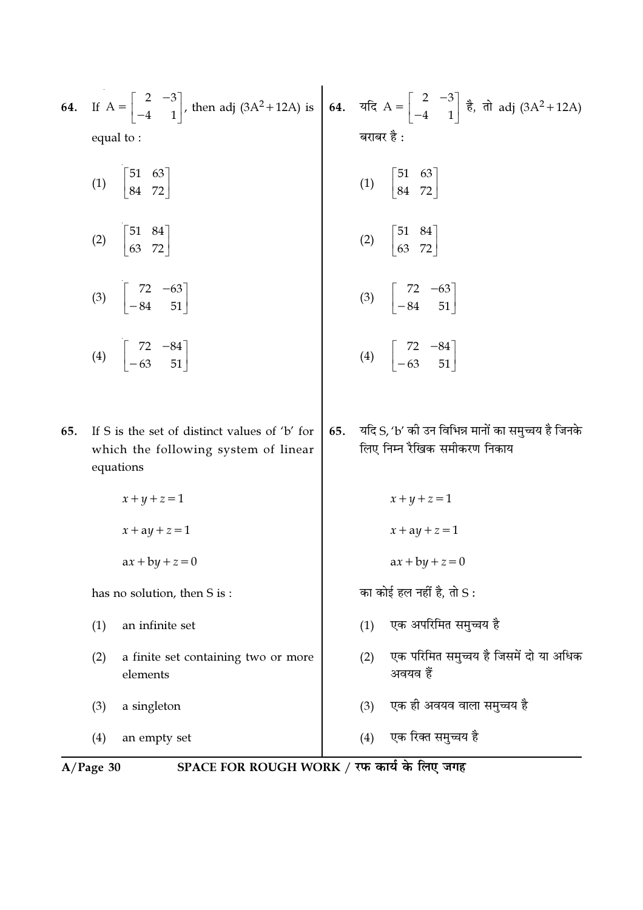| 64.                                                       | equal to:                                                                                          |     | If $A = \begin{bmatrix} 2 & -3 \\ -4 & 1 \end{bmatrix}$ , then adj (3A <sup>2</sup> +12A) is <b>64.</b> $\overline{a}$ and $A = \begin{bmatrix} 2 & -3 \\ -4 & 1 \end{bmatrix}$ $\overline{b}$ , $\overline{a}$ adj (3A <sup>2</sup> +12A)<br>बराबर है : |
|-----------------------------------------------------------|----------------------------------------------------------------------------------------------------|-----|----------------------------------------------------------------------------------------------------------------------------------------------------------------------------------------------------------------------------------------------------------|
|                                                           | (1) $\begin{bmatrix} 51 & 63 \\ 84 & 72 \end{bmatrix}$                                             |     | (1) $\begin{bmatrix} 51 & 63 \\ 84 & 72 \end{bmatrix}$                                                                                                                                                                                                   |
|                                                           | (2) $\begin{bmatrix} 51 & 84 \\ 63 & 72 \end{bmatrix}$                                             |     | (2) $\begin{bmatrix} 51 & 84 \\ 63 & 72 \end{bmatrix}$                                                                                                                                                                                                   |
|                                                           | (3) $\begin{bmatrix} 72 & -63 \\ -84 & 51 \end{bmatrix}$                                           |     | (3) $\begin{bmatrix} 72 & -63 \\ -84 & 51 \end{bmatrix}$                                                                                                                                                                                                 |
|                                                           | (4) $\begin{bmatrix} 72 & -84 \\ -63 & 51 \end{bmatrix}$                                           |     | (4) $\begin{bmatrix} 72 & -84 \\ -63 & 51 \end{bmatrix}$                                                                                                                                                                                                 |
| 65.                                                       | If S is the set of distinct values of 'b' for<br>which the following system of linear<br>equations | 65. | यदि S, 'b' को उन विभिन्न मानों का समुच्चय है जिनके<br>लिए निम्न रैखिक समीकरण निकाय                                                                                                                                                                       |
|                                                           | $x + y + z = 1$                                                                                    |     | $x + y + z = 1$                                                                                                                                                                                                                                          |
|                                                           | $x + ay + z = 1$                                                                                   |     | $x + ay + z = 1$                                                                                                                                                                                                                                         |
|                                                           | $ax + by + z = 0$                                                                                  |     | $ax + by + z = 0$                                                                                                                                                                                                                                        |
|                                                           | has no solution, then S is:                                                                        |     | का कोई हल नहीं है, तो $S$ :                                                                                                                                                                                                                              |
|                                                           | (1)<br>an infinite set                                                                             |     | एक अपरिमित समुच्चय है<br>(1)                                                                                                                                                                                                                             |
|                                                           | a finite set containing two or more<br>(2)<br>elements                                             |     | एक परिमित समुच्चय है जिसमें दो या अधिक<br>(2)<br>अवयव हैं                                                                                                                                                                                                |
|                                                           | a singleton<br>(3)                                                                                 |     | एक ही अवयव वाला समुच्चय है<br>(3)                                                                                                                                                                                                                        |
|                                                           | (4)<br>an empty set                                                                                |     | एक रिक्त समुच्चय है<br>(4)                                                                                                                                                                                                                               |
| SPACE FOR ROUGH WORK / रफ कार्य के लिए जगह<br>$A/Page$ 30 |                                                                                                    |     |                                                                                                                                                                                                                                                          |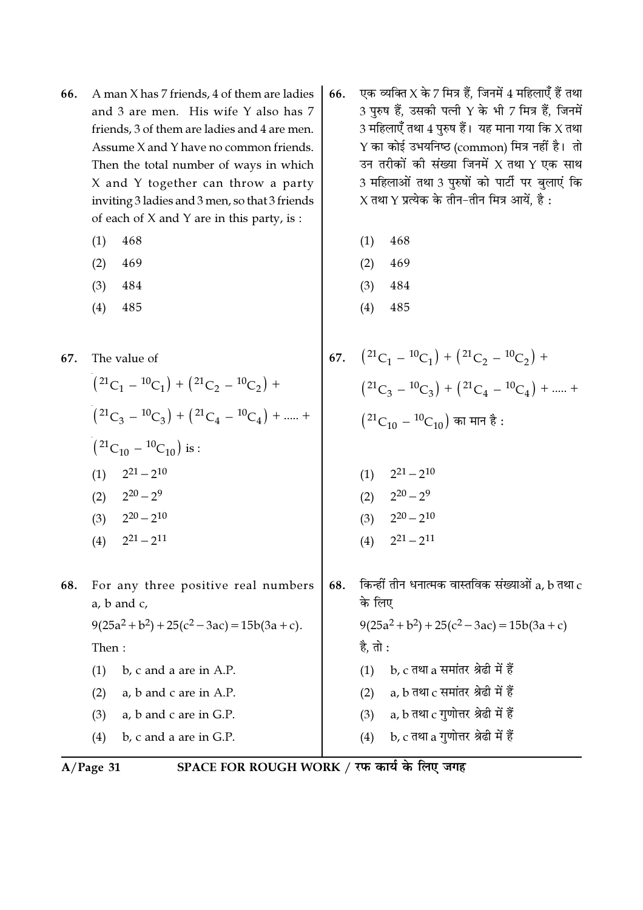- A man X has 7 friends, 4 of them are ladies 66. and 3 are men. His wife Y also has 7 friends, 3 of them are ladies and 4 are men. Assume X and Y have no common friends. Then the total number of ways in which X and Y together can throw a party inviting 3 ladies and 3 men, so that 3 friends of each of X and Y are in this party, is :
	- $(1)$ 468
	- $(2)$ 469
	- $(3)$ 484
	- 485  $(4)$

The value of 67.

$$
(21C_1 - 10C_1) + (21C_2 - 10C_2) +
$$
  
\n
$$
(21C_3 - 10C_3) + (21C_4 - 10C_4) + \dots +
$$
  
\n
$$
(21C_{10} - 10C_{10})
$$
 is :  
\n
$$
(1) \quad 2^{21} - 2^{10}
$$
  
\n
$$
(2) \quad 2^{20} - 2^9
$$
  
\n
$$
(3) \quad 2^{20} - 2^{10}
$$
  
\n
$$
(4) \quad 2^{21} - 2^{11}
$$

- 68. For any three positive real numbers  $a, b$  and  $c,$  $9(25a^2 + b^2) + 25(c^2 - 3ac) = 15b(3a + c).$ Then:
	- $(1)$  b, c and a are in A.P.  $(2)$ a, b and c are in A.P.  $(3)$ a, b and c are in G.P.
	- $(4)$ b, c and a are in G.P.
- एक व्यक्ति $X$  के 7 मित्र हैं. जिनमें 4 महिलाएँ हैं तथा 66. 3 पुरुष हैं, उसकी पत्नी Y के भी 7 मित्र हैं, जिनमें 3 महिलाएँ तथा  $4$  पुरुष हैं। यह माना गया कि X तथा Y का कोई उभयनिष्ठ (common) मित्र नहीं है। तो उन तरीकों की संख्या जिनमें X तथा Y एक साथ 3 महिलाओं तथा 3 पुरुषों को पार्टी पर बुलाएं कि  $X$  तथा  $Y$  प्रत्येक के तीन–तीन मित्र आयें, है :
	- $(1)$ 468
	- $(2)$ 469
	- $(3)$ 484
	- $(4)$ 485
- 67.  $(2^1C_1 {^{10}C_1}) + (2^1C_2 {^{10}C_2}) +$  $(21C_3 - 10C_3) + (21C_4 - 10C_4) + ..... +$ <br> $(21C_{10} - 10C_{10})$  का मान है :
	- $(1)$   $2^{21} 2^{10}$
	- $2^{20} 2^9$  $(2)$
	- $2^{20} 2^{10}$  $(3)$
	- $2^{21} 2^{11}$  $(4)$
- किन्हीं तीन धनात्मक वास्तविक संख्याओं a, b तथा  $\rm c$ 68. के लिए  $9(25a^2 + b^2) + 25(c^2 - 3ac) = 15b(3a + c)$ है, तो : (1) b,  $c$  तथा a समांतर श्रेढी में हैं (2)  $a, b$  तथा  $c$  समांतर श्रेढी में हैं a,  $b$  तथा  $c$  गुणोत्तर श्रेढी में हैं  $(3)$ b, c तथा a गुणोत्तर श्रेढी में हैं  $(4)$

$$
A/Page 31
$$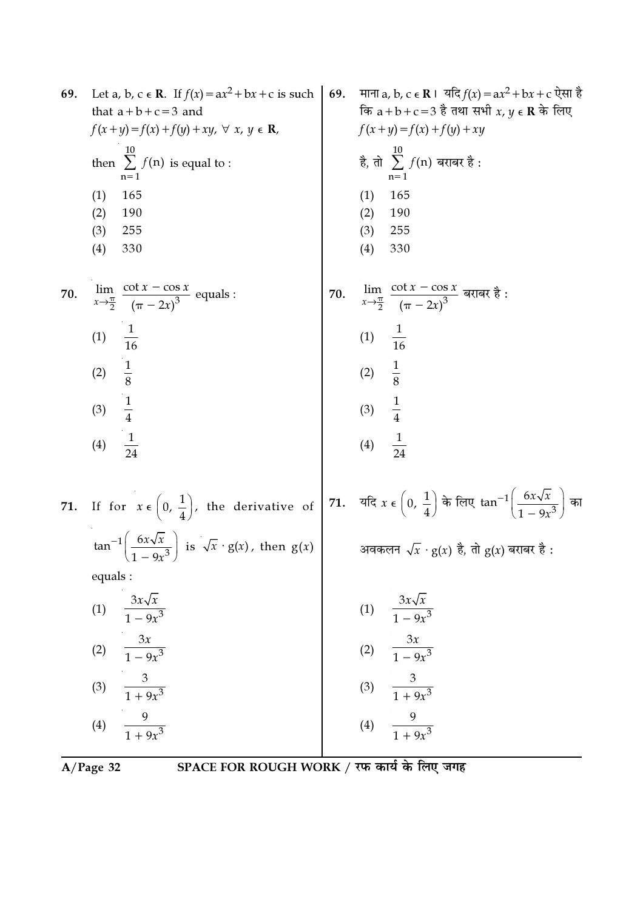| 69. | Let a, b, c $\in$ <b>R</b> . If $f(x) = ax^2 + bx + c$ is such                           | 69. | माना a, b, c $\epsilon \mathbf{R}$ । यदि $f(x) = ax^2 + bx + c$ ऐसा है                                           |
|-----|------------------------------------------------------------------------------------------|-----|------------------------------------------------------------------------------------------------------------------|
|     | that $a+b+c=3$ and                                                                       |     | कि $a+b+c=3$ है तथा सभी $x, y \in \mathbb{R}$ के लिए                                                             |
|     | $f(x+y)=f(x)+f(y)+xy, \forall x, y \in \mathbf{R}$ ,                                     |     | $f(x+y) = f(x) + f(y) + xy$                                                                                      |
|     | $\overline{10}$<br>then $\sum f(n)$ is equal to :<br>$n=1$                               |     | है, तो $\sum_{n=0}^{10} f(n)$ बराबर है:<br>$n=1$                                                                 |
|     | 165<br>(1)                                                                               |     | 165<br>(1)                                                                                                       |
|     | 190<br>(2)                                                                               |     | (2)<br>190                                                                                                       |
|     | (3)<br>255                                                                               |     | 255<br>(3)                                                                                                       |
|     | (4)<br>330                                                                               |     | (4)<br>330                                                                                                       |
| 70. | $\lim_{x \to \frac{\pi}{2}} \frac{\cot x - \cos x}{(\pi - 2x)^3}$ equals :               | 70. | $\lim_{x\to\frac{\pi}{2}} \frac{\cot x - \cos x}{\left(\pi - 2x\right)^3}$ बराबर है :                            |
|     | $\frac{1}{16}$<br>(1)                                                                    |     | $\frac{1}{16}$<br>(1)                                                                                            |
|     | $\frac{1}{8}$<br>(2)                                                                     |     | (2) $\frac{1}{8}$                                                                                                |
|     |                                                                                          |     |                                                                                                                  |
|     | $\frac{1}{4}$<br>(3)                                                                     |     | (3) $\frac{1}{4}$                                                                                                |
|     | $\frac{1}{24}$<br>(4)                                                                    |     | $\frac{1}{24}$<br>(4)                                                                                            |
| 71. | If for $x \in \left(0, \frac{1}{4}\right)$ , the derivative of                           |     | 71. यदि $x \in \left(0, \frac{1}{4}\right)$ के लिए $\tan^{-1} \left( \frac{6x\sqrt{x}}{1-\alpha x^3} \right)$ का |
|     | $\tan^{-1}\left(\frac{6x\sqrt{x}}{1-9x^3}\right)$ is $\sqrt{x} \cdot g(x)$ , then $g(x)$ |     | अवकलन $\sqrt{x} \cdot g(x)$ है, तो $g(x)$ बराबर है :                                                             |
|     | equals :                                                                                 |     |                                                                                                                  |
|     | $\frac{3x\sqrt{x}}{1-9x^3}$<br>(1)                                                       |     | (1) $\frac{3x\sqrt{x}}{1-9x^3}$                                                                                  |
|     | (2) $\frac{3x}{1-9x^3}$                                                                  |     | (2) $\frac{3x}{1-9x^3}$                                                                                          |
|     | $\frac{3}{1+9x^3}$<br>(3)                                                                |     | (3) $\frac{3}{1+9x^3}$                                                                                           |
|     | $\frac{9}{1+9x^3}$<br>(4)                                                                |     | $\frac{9}{1+9x^3}$<br>(4)                                                                                        |
|     |                                                                                          |     |                                                                                                                  |

 $\overline{A/Page 32}$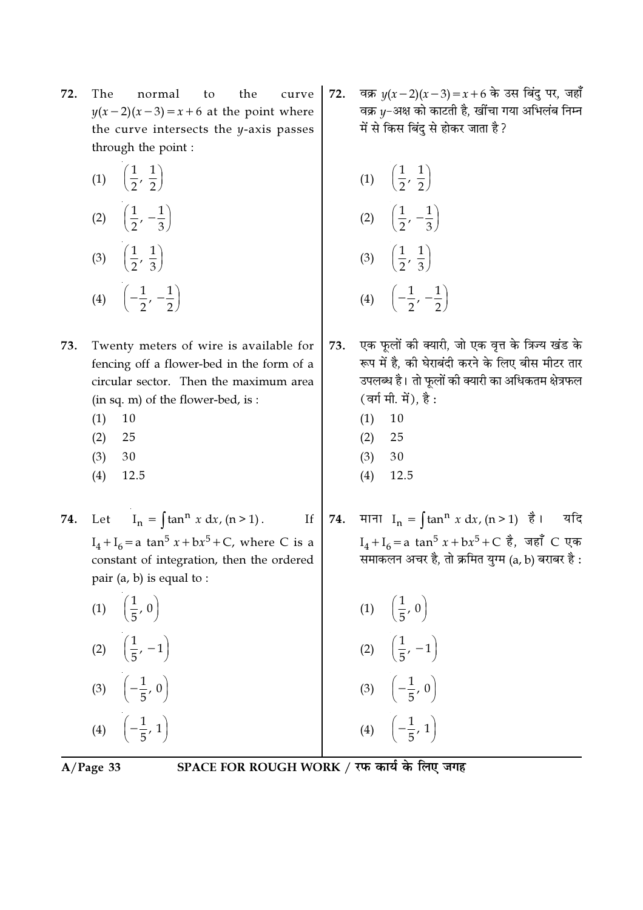72. The normal to the curve  $y(x-2)(x-3) = x+6$  at the point where the curve intersects the y-axis passes through the point :

| (1) | $\left(\frac{1}{2},\right)$<br>$\frac{1}{2}$ |
|-----|----------------------------------------------|
| (2) | $\left(\frac{1}{2},\,-\frac{1}{3}\right)$    |
| (3) | $\left(\frac{1}{2},\,\frac{1}{3}\right)$     |
| (4) |                                              |

- Twenty meters of wire is available for 73. fencing off a flower-bed in the form of a circular sector. Then the maximum area (in sq. m) of the flower-bed, is:
	- $(1)$ 10
	- $(2)$ 25
	- $(3)$ 30
	- $(4)$ 12.5

 $I_n = \int \tan^n x \, dx, (n > 1).$ 74. Let

 $I_4 + I_6 = a \tan^5 x + bx^5 + C$ , where C is a constant of integration, then the ordered pair  $(a, b)$  is equal to :

(1)  $\left(\frac{1}{5}, 0\right)$ (2)  $\left(\frac{1}{5}, -1\right)$ (3)  $\left(-\frac{1}{5}, 0\right)$ (4)  $\left(-\frac{1}{5}, 1\right)$ 

वक्र  $y(x-2)(x-3) = x+6$  के उस बिंदु पर, जहाँ 72. वक्र y-अक्ष को काटती है, खींचा गया अभिलंब निम्न में से किस बिंदु से होकर जाता है?

(1) 
$$
\left(\frac{1}{2}, \frac{1}{2}\right)
$$
  
\n(2)  $\left(\frac{1}{2}, -\frac{1}{3}\right)$   
\n(3)  $\left(\frac{1}{2}, \frac{1}{3}\right)$   
\n(4)  $\left(-\frac{1}{2}, -\frac{1}{2}\right)$ 

एक फूलों की क्यारी, जो एक वृत्त के त्रिज्य खंड के 73. रूप में है. की घेराबंदी करने के लिए बीस मीटर तार उपलब्ध है। तो फूलों की क्यारी का अधिकतम क्षेत्रफल (वर्ग मी. में), है:

- $(1)$ 10
- $(2)$ 25
- $(3)$ 30
- $(4)$ 12.5

माना  $I_n = \int \tan^n x \, dx$ ,  $(n > 1)$  है। यदि 74.  $I_4 + I_6 = a \tan^5 x + bx^5 + C \; \xi$ , जहाँ C एक .<br>समाकलन अचर है, तो क्रमित युग्म (a, b) बराबर है:

> (1)  $\left(\frac{1}{5}, 0\right)$ (2)  $\left(\frac{1}{5}, -1\right)$ (3)  $\left(-\frac{1}{5}, 0\right)$ (4)  $\left(-\frac{1}{5}, 1\right)$

 $A/Page$  33

SPACE FOR ROUGH WORK / रफ कार्य के लिए जगह

 $If$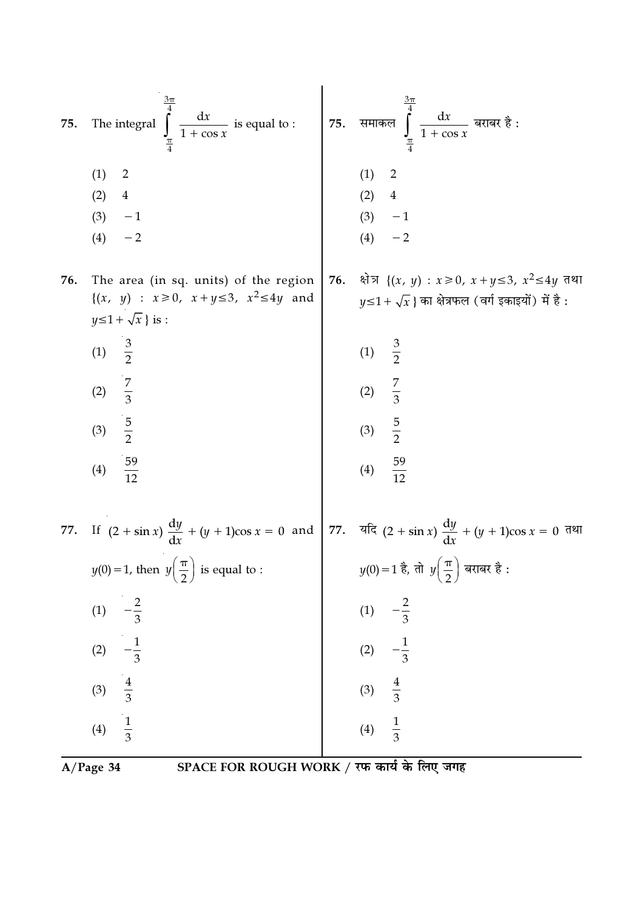| 75. | $\int_{\frac{\pi}{4}}^{\frac{3\pi}{4}} \frac{dx}{1 + \cos x}$ is equal to :<br>The integral                                                                                         |     | 75. समाकल $\int_{\pi}^{\frac{3\pi}{4}} \frac{dx}{1 + \cos x}$ बराबर है :                                                  |
|-----|-------------------------------------------------------------------------------------------------------------------------------------------------------------------------------------|-----|---------------------------------------------------------------------------------------------------------------------------|
|     | (1)<br>$\overline{2}$<br>(2)<br>$\overline{4}$<br>$-1$<br>(3)<br>$- \, 2$<br>(4)                                                                                                    |     | (1)<br>$\overline{2}$<br>(2) 4<br>(3) $-1$<br>(4) $-2$                                                                    |
| 76. | The area (in sq. units) of the region<br>$\{(x, y) : x \ge 0, x+y \le 3, x^2 \le 4y \text{ and }$<br>$y \le 1 + \sqrt{x}$ is :                                                      | 76. | क्षेत्र $\{(x, y) : x \ge 0, x+y \le 3, x^2 \le 4y \}$ तथा<br>$y \leq 1 + \sqrt{x}$ } का क्षेत्रफल (वर्ग इकाइयों) में है: |
|     | (1) $\frac{3}{2}$                                                                                                                                                                   |     | (1) $\frac{3}{2}$<br>(2) $\frac{7}{3}$<br>(3) $\frac{5}{2}$<br>(4) $\frac{59}{12}$                                        |
|     |                                                                                                                                                                                     |     |                                                                                                                           |
|     | (2) $\frac{7}{3}$<br>(3) $\frac{5}{2}$<br>(4) $\frac{59}{12}$                                                                                                                       |     |                                                                                                                           |
|     |                                                                                                                                                                                     |     |                                                                                                                           |
|     | 77. If $(2 + \sin x) \frac{dy}{dx} + (y + 1)\cos x = 0$ and $77.$ $\frac{d\pi}{dx} + (y + 1)\cos x = 0$ $\frac{d\pi}{dx} + (y + 1)\cos x = 0$ $\frac{d\pi}{dx} + (y + 1)\cos x = 0$ |     |                                                                                                                           |
|     | $y(0) = 1$ , then $y\left(\frac{\pi}{2}\right)$ is equal to :                                                                                                                       |     | $y(0)=1$ है, तो $y\left(\frac{\pi}{2}\right)$ बराबर है :                                                                  |
|     | $-\frac{2}{3}$<br>(1)                                                                                                                                                               |     | $-\frac{2}{3}$<br>(1)                                                                                                     |
|     | $-\frac{1}{3}$<br>(2)                                                                                                                                                               |     | $-\frac{1}{3}$<br>(2)                                                                                                     |
|     | $rac{4}{3}$<br>(3)                                                                                                                                                                  |     | $\frac{4}{3}$<br>$\frac{1}{3}$<br>(3)                                                                                     |
|     | $\frac{1}{3}$<br>(4)                                                                                                                                                                |     | (4)                                                                                                                       |

 $\overline{A/Page 34}$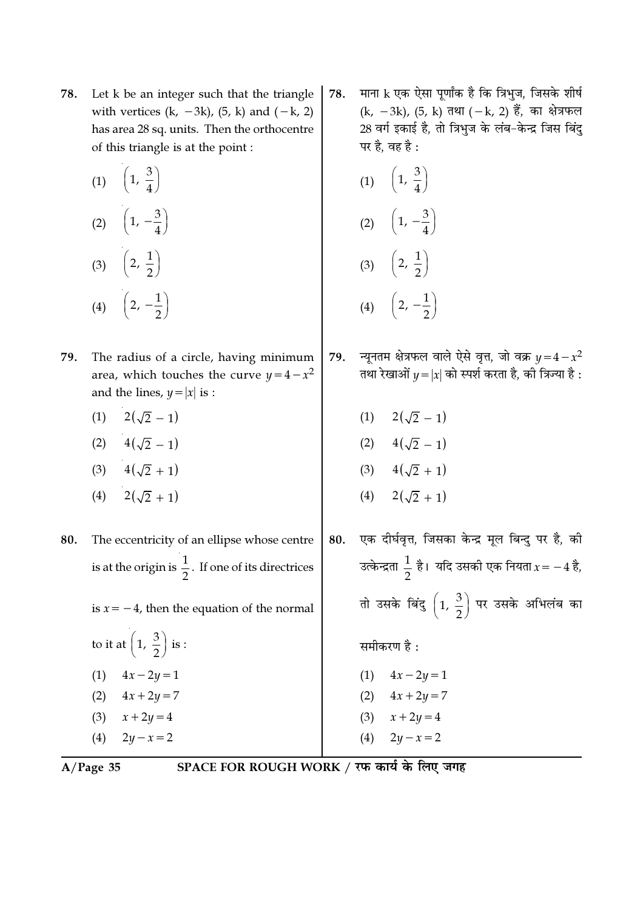- Let k be an integer such that the triangle 78. with vertices  $(k, -3k)$ ,  $(5, k)$  and  $(-k, 2)$ has area 28 sq. units. Then the orthocentre of this triangle is at the point:
	- (1)  $\left(1, \frac{3}{4}\right)$ (2)  $\left(1, -\frac{3}{4}\right)$ (3)  $\left(2, \frac{1}{2}\right)$ (4)  $\left(2, -\frac{1}{2}\right)$
- 79. The radius of a circle, having minimum area, which touches the curve  $y = 4 - x^2$ and the lines,  $y = |x|$  is :
	- (1)  $2(\sqrt{2}-1)$
	- (2)  $4(\sqrt{2}-1)$
	- (3)  $4(\sqrt{2}+1)$
	- (4)  $2(\sqrt{2}+1)$
- 80. The eccentricity of an ellipse whose centre is at the origin is  $\frac{1}{2}$ . If one of its directrices is  $x = -4$ , then the equation of the normal
	- to it at  $\left(1, \frac{3}{2}\right)$  is : (1)  $4x - 2y = 1$ (2)  $4x + 2y = 7$  $x + 2y = 4$  $(3)$  $(4)$  $2y - x = 2$
- $A/Page$  35

माना k एक ऐसा पूर्णांक है कि त्रिभुज, जिसके शीर्ष 78. (k, -3k), (5, k) तथा (-k, 2) हैं, का क्षेत्रफल 28 वर्ग इकाई है, तो त्रिभुज के लंब-केन्द्र जिस बिंदु पर है, वह है :

(1) 
$$
\left(1, \frac{3}{4}\right)
$$
  
\n(2)  $\left(1, -\frac{3}{4}\right)$   
\n(3)  $\left(2, \frac{1}{2}\right)$   
\n(4)  $\left(2, -\frac{1}{2}\right)$ 

- न्यूनतम क्षेत्रफल वाले ऐसे वृत्त, जो वक्र  $y = 4 x^2$ 79. तथा रेखाओं  $y = |x|$  को स्पर्श करता है, की त्रिज्या है:
	- (1)  $2(\sqrt{2}-1)$

$$
(2) \qquad 4(\sqrt{2}-1)
$$

- (3)  $4(\sqrt{2}+1)$
- (4)  $2(\sqrt{2} + 1)$
- एक दीर्घवृत्त, जिसका केन्द्र मूल बिन्दु पर है, की 80. उत्केन्द्रता  $\frac{1}{2}$  है। यदि उसकी एक नियता  $x = -4$  है, तो उसके बिंदु  $\left(1, \frac{3}{2}\right)$  पर उसके अभिलंब का समीकरण है $\cdot$ (1)  $4x - 2y = 1$ (2)  $4x + 2y = 7$ 
	- (3)  $x + 2y = 4$
- $(4)$  $2y - x = 2$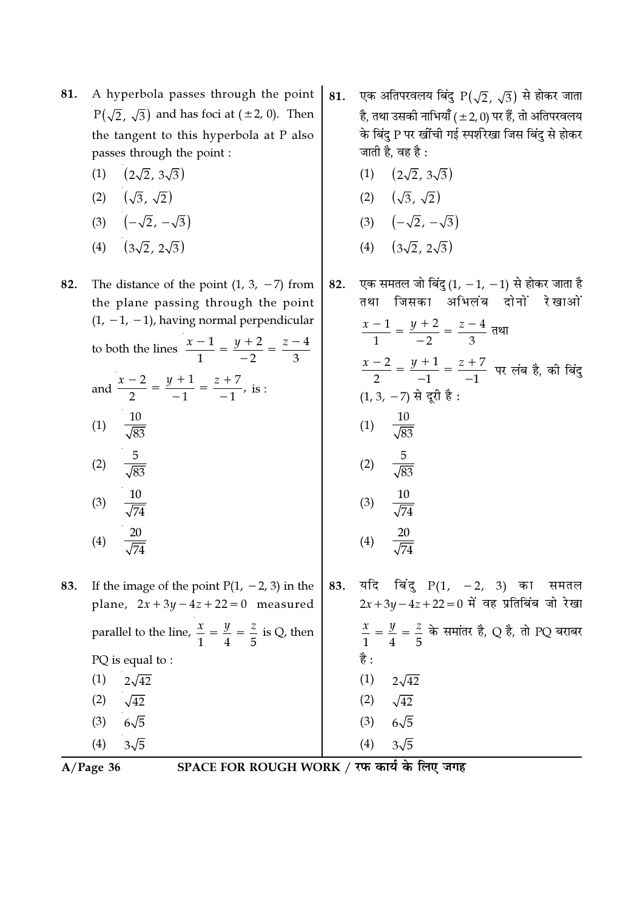- A hyperbola passes through the point 81.  $P(\sqrt{2}, \sqrt{3})$  and has foci at ( $\pm 2$ , 0). Then the tangent to this hyperbola at P also passes through the point :
	- $(1)$  $(2\sqrt{2}, 3\sqrt{3})$
	- $(\sqrt{3}, \sqrt{2})$  $(2)$
	- $(-\sqrt{2}, -\sqrt{3})$  $(3)$
	- $(3\sqrt{2}, 2\sqrt{3})$  $(4)$

The distance of the point  $(1, 3, -7)$  from 82. the plane passing through the point  $(1, -1, -1)$ , having normal perpendicular to both the lines  $\frac{x-1}{1} = \frac{y+2}{-2} = \frac{z-4}{3}$ and  $\frac{x-2}{2} = \frac{y+1}{1} = \frac{z+7}{1}$ , is:  $(1)$  $(2)$  $(3)$  $(4)$ 

83. If the image of the point  $P(1, -2, 3)$  in the plane,  $2x + 3y - 4z + 22 = 0$  measured parallel to the line,  $\frac{x}{1} = \frac{y}{4} = \frac{z}{5}$  is Q, then PQ is equal to:  $(1)$  $2\sqrt{42}$  $(2)$  $\sqrt{42}$  $(3)$  $6\sqrt{5}$  $(4)$  $3\sqrt{5}$ 

 $A/Page$  36

SPACE FOR ROUGH WORK / रफ कार्य के लिए जगह

- एक अतिपरवलय बिंदु  $P(\sqrt{2}, \sqrt{3})$  से होकर जाता 81. है. तथा उसकी नाभियाँ (±2,0) पर हैं. तो अतिपरवलय के बिंद P पर खींची गई स्पर्शरेखा जिस बिंद से होकर जाती है. वह है :
	- $(1)$   $(2\sqrt{2}, 3\sqrt{3})$
	- (2)  $(\sqrt{3}, \sqrt{2})$
	- (3)  $(-\sqrt{2}, -\sqrt{3})$
	- (4)  $(3\sqrt{2}, 2\sqrt{3})$

एक समतल जो बिंदु (1,  $-1$ ,  $-1$ ) से होकर जाता है 82. तथा जिसका अभिलंब दोनों रेखाओं  $\frac{x-1}{1} = \frac{y+2}{-2} = \frac{z-4}{3}$  $\frac{x-2}{2} = \frac{y+1}{-1} = \frac{z+7}{-1}$  पर लंब है, की बिंदु  $(1, 3, -7)$  से दरी है: (1)  $\frac{10}{\sqrt{83}}$  $(2)$  $\frac{10}{\sqrt{74}}$  $(3)$  $\frac{20}{\sqrt{74}}$  $(4)$ यदि बिंदु  $P(1, -2, 3)$  का 83. समतल  $2x + 3y - 4z + 22 = 0$  में वह प्रतिबिंब जो रेखा

 $\frac{x}{1} = \frac{y}{4} = \frac{z}{5}$  के समांतर है, Q है, तो PQ बराबर

 $(1)$  $2\sqrt{42}$  $(2)$  $\sqrt{42}$  $6\sqrt{5}$  $(3)$  $(4)$  $3\sqrt{5}$ 

है :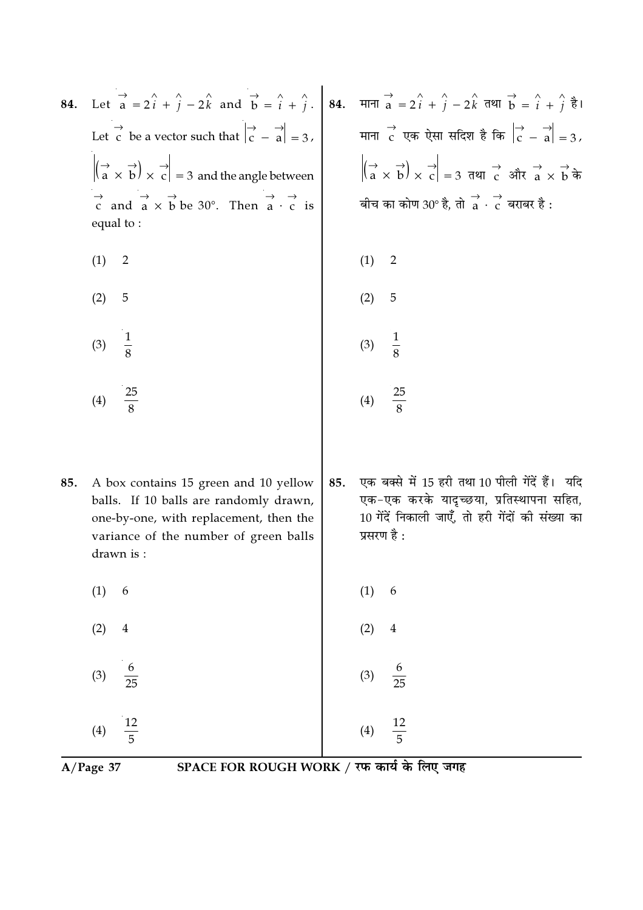| 84. | Let $\overrightarrow{a} = 2\hat{i} + \hat{j} - 2\hat{k}$ and $\overrightarrow{b} = \hat{i} + \hat{j}$ . 84. माना $\overrightarrow{a} = 2\hat{i} + \hat{j} - 2\hat{k}$ तथा $\overrightarrow{b} = \hat{i} + \hat{j} + \hat{k}$ |     |                                                                                                                                                                                          |
|-----|------------------------------------------------------------------------------------------------------------------------------------------------------------------------------------------------------------------------------|-----|------------------------------------------------------------------------------------------------------------------------------------------------------------------------------------------|
|     | Let c be a vector such that $\begin{vmatrix} \rightarrow & \rightarrow \\ c & -a \end{vmatrix} = 3$ ,                                                                                                                        |     | माना c एक ऐसा सदिश है कि $\begin{vmatrix} \rightarrow & \rightarrow \\ C & -a \end{vmatrix} = 3$ ,                                                                                       |
|     | $\left \left(\begin{array}{cc} \rightarrow & \rightarrow \\ a & \times \end{array}\right) \times \begin{array}{c} \rightarrow \\ c \end{array}\right  = 3$ and the angle between                                             |     | $\left  \left( \overrightarrow{a} \times \overrightarrow{b} \right) \times \overrightarrow{c} \right  = 3$ तथा $\overrightarrow{c}$ और $\overrightarrow{a} \times \overrightarrow{b}$ के |
|     | $\overrightarrow{c}$ and $\overrightarrow{a} \times \overrightarrow{b}$ be 30°. Then $\overrightarrow{a} \cdot \overrightarrow{c}$ is<br>equal to:                                                                           |     | बीच का कोण 30° है, तो $\overrightarrow{a}$ $\overrightarrow{c}$ बराबर है :                                                                                                               |
|     | (1)<br>$\overline{2}$                                                                                                                                                                                                        |     | (1)<br>$\overline{2}$                                                                                                                                                                    |
|     | 5<br>(2)                                                                                                                                                                                                                     |     | 5<br>(2)                                                                                                                                                                                 |
|     | $\frac{1}{8}$<br>(3)                                                                                                                                                                                                         |     | $\frac{1}{8}$<br>(3)                                                                                                                                                                     |
|     | $\frac{25}{8}$<br>(4)                                                                                                                                                                                                        |     | $\frac{25}{8}$<br>(4)                                                                                                                                                                    |
| 85. | A box contains 15 green and 10 yellow<br>balls. If 10 balls are randomly drawn,<br>one-by-one, with replacement, then the<br>variance of the number of green balls<br>drawn is :                                             | 85. | एक बक्से में 15 हरी तथा 10 पीली गेंदें हैं। यदि<br>एक-एक करके यादृच्छया, प्रतिस्थापना सहित,<br>10 गेंदें निकाली जाएँ, तो हरी गेंदों की संख्या का<br>प्रसरण है :                          |
|     | (1)<br>$\boldsymbol{6}$                                                                                                                                                                                                      |     | $\left( 1\right)$<br>$\boldsymbol{6}$                                                                                                                                                    |
|     | (2)<br>$\overline{4}$                                                                                                                                                                                                        |     |                                                                                                                                                                                          |
|     | $\frac{6}{25}$<br>(3)                                                                                                                                                                                                        |     | (2) 4<br>(3) $\frac{6}{25}$<br>(4) $\frac{12}{5}$                                                                                                                                        |
|     | $\frac{12}{5}$<br>(4)                                                                                                                                                                                                        |     |                                                                                                                                                                                          |

 $\overline{A/Page 37}$ 

SPACE FOR ROUGH WORK / रफ कार्य के लिए जगह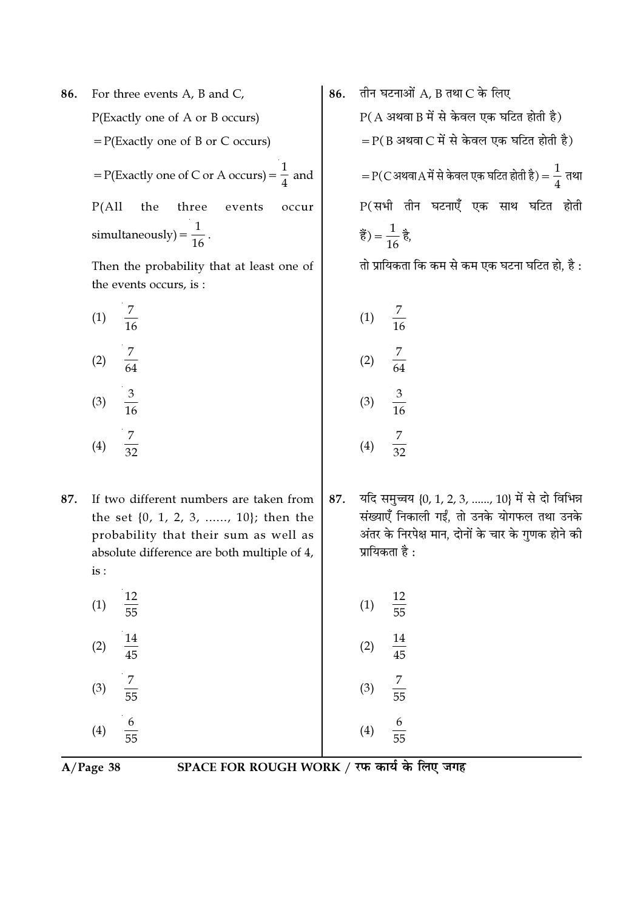For three events A, B and C, 86. P(Exactly one of A or B occurs)  $= P(Exactly one of B or C occurs)$ = P(Exactly one of C or A occurs) =  $\frac{1}{4}$  and  $P(All$ the three events occur simultaneously) =  $\frac{1}{16}$ .

Then the probability that at least one of the events occurs, is:

 $(1)$  $(2)$  $(3)$  $\frac{7}{32}$  $(4)$ 

If two different numbers are taken from 87. the set  $\{0, 1, 2, 3, \ldots, 10\}$ ; then the probability that their sum as well as absolute difference are both multiple of 4, is :

12  $(1)$  $\overline{55}$ 14  $(2)$  $\overline{45}$  $(3)$ 

तीन घटनाओं  $A$ ,  $B$  तथा  $C$  के लिए 86.  $P(A \n3497B)$  में से केवल एक घटित होती है)  $=$  P(B अथवा C में से केवल एक घटित होती है)  $=$  P(C अथवा $A$  में से केवल एक घटित होती है) =  $\frac{1}{4}$  तथा P(सभी तीन घटनाएँ एक साथ घटित होती हैं) =  $\frac{1}{16}$  है,

तो प्रायिकता कि कम से कम एक घटना घटित हो, है :

 $(1)$  $(2)$  $(3)$  $(4)$ 

यदि समुच्चय {0, 1, 2, 3, ......, 10} में से दो विभिन्न 87. संख्याएँ निकाली गईं, तो उनके योगफल तथा उनके अंतर के निरपेक्ष मान, दोनों के चार के गुणक होने की प्रायिकता है:

12  $(1)$  $\overline{55}$  $(2)$  $(3)$  $(4)$ 

 $A/Page$  38

 $(4)$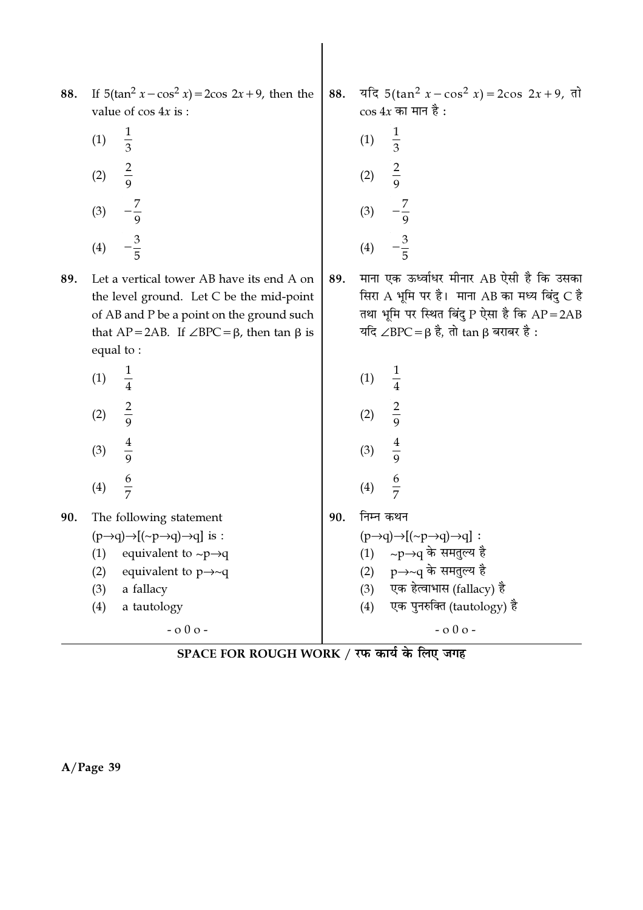| 88. If $5(\tan^2 x - \cos^2 x) = 2\cos 2x + 9$ , then the |
|-----------------------------------------------------------|
| value of $\cos 4x$ is :                                   |

| (1) | 1<br>3              |
|-----|---------------------|
| (2) | $\overline{2}$<br>g |
| (3) | 9                   |
| (4) | З<br>5              |

Let a vertical tower AB have its end A on 89. the level ground. Let C be the mid-point of AB and P be a point on the ground such that  $AP = 2AB$ . If  $\angle BPC = \beta$ , then tan  $\beta$  is equal to:

| (1) | 1<br>$\overline{4}$             |
|-----|---------------------------------|
| (2) | $\overline{2}$<br>$\frac{1}{9}$ |
| (3) | 4<br>$\overline{9}$             |
| (4) | 6<br>7                          |

90. The following statement  $(p\rightarrow q)\rightarrow [(-p\rightarrow q)\rightarrow q]$  is : equivalent to  $\sim p \rightarrow q$  $(1)$  $(2)$ equivalent to  $p\rightarrow\sim q$ 

a fallacy  $(3)$ 

 $(4)$ a tautology

 $-000-$ 

SPACE FOR ROUGH WORK / रफ कार्य के लिए जगह

यदि 5(tan<sup>2</sup>  $x - \cos^2 x$ ) = 2cos 2x + 9, तो 88.  $\cos 4x$  का मान है :

(1) 
$$
\frac{1}{3}
$$
  
\n(2)  $\frac{2}{9}$   
\n(3)  $-\frac{7}{9}$   
\n(4)  $-\frac{3}{5}$ 

1

 $\overline{4}$ 

 $\frac{2}{9}$ 

 $\frac{4}{9}$ 

 $(1)$ 

 $(2)$ 

 $(3)$ 

 $(4)$ 

 $(2)$ 

 $(3)$ 

 $(4)$ 

निम्न कथन

 $(p\rightarrow q)\rightarrow[(\sim p\rightarrow q)\rightarrow q]$ : (1) ~p→q के समतुल्य है

p→~q के समतुल्य है

एक हेत्वाभास (fallacy) है

एक पुनरुक्ति (tautology) है

 $-000-$ 

90.

माना एक ऊर्ध्वाधर मीनार AB ऐसी है कि उसका 89. सिरा A भूमि पर है। माना AB का मध्य बिंदु C है तथा भूमि पर स्थित बिंदु P ऐसा है कि  $AP = 2AB$ यदि ∠BPC =  $\beta$  है, तो tan  $\beta$  बराबर है: